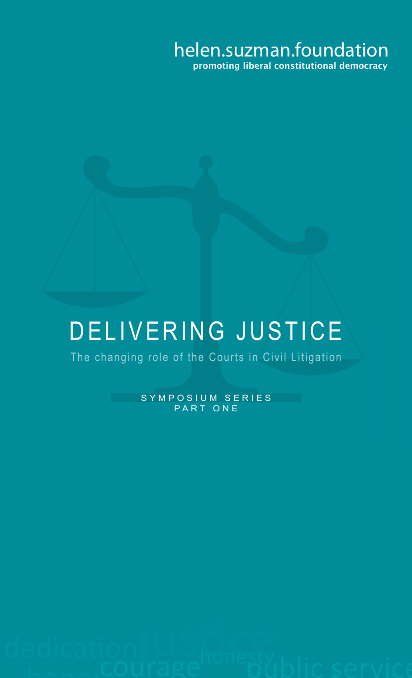#### helen.suzman.foundation promoting liberal constitutional democracy

### DELIVERING JUSTICE

The changing role of the Courts in Civil Litigation

SYMPOSIUM SERIES PART ONE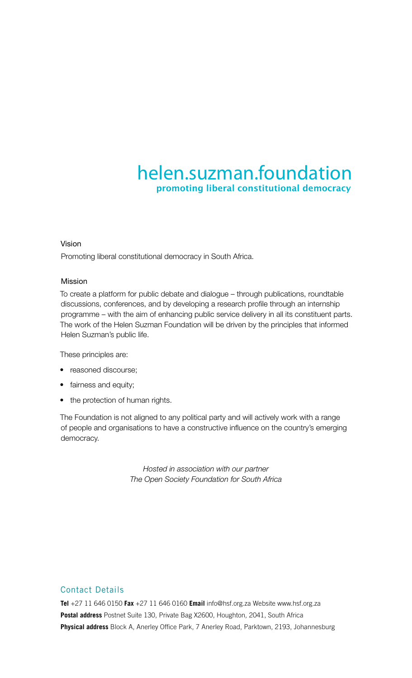#### helen.suzman.foundation promoting liberal constitutional democracy

#### Vision

Promoting liberal constitutional democracy in South Africa.

#### Mission

To create a platform for public debate and dialogue – through publications, roundtable discussions, conferences, and by developing a research profile through an internship programme – with the aim of enhancing public service delivery in all its constituent parts. The work of the Helen Suzman Foundation will be driven by the principles that informed Helen Suzman's public life.

These principles are:

- reasoned discourse;
- fairness and equity;
- the protection of human rights.

The Foundation is not aligned to any political party and will actively work with a range of people and organisations to have a constructive influence on the country's emerging democracy.

> *Hosted in association with our partner The Open Society Foundation for South Africa*

#### Contact Details

**Tel** +27 11 646 0150 **Fax** +27 11 646 0160 **Email** info@hsf.org.za Website www.hsf.org.za **Postal address** Postnet Suite 130, Private Bag X2600, Houghton, 2041, South Africa **Physical address** Block A, Anerley Office Park, 7 Anerley Road, Parktown, 2193, Johannesburg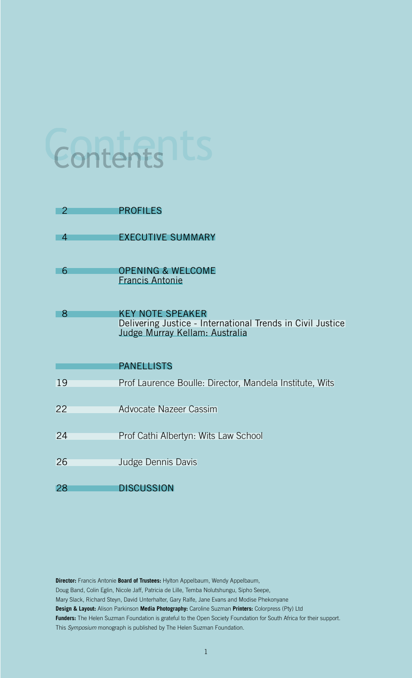## Contents ts

| 2  | <b>PROFILES</b>                                                                                                         |
|----|-------------------------------------------------------------------------------------------------------------------------|
| 4  | <b>EXECUTIVE SUMMARY</b>                                                                                                |
| 6  | <b>OPENING &amp; WELCOME</b><br><b>Francis Antonie</b>                                                                  |
| 8  | <b>KEY NOTE SPEAKER</b><br>Delivering Justice - International Trends in Civil Justice<br>Judge Murray Kellam: Australia |
|    | <b>PANELLISTS</b>                                                                                                       |
| 19 | Prof Laurence Boulle: Director, Mandela Institute, Wits                                                                 |
| 22 | Advocate Nazeer Cassim                                                                                                  |
| 24 | Prof Cathi Albertyn: Wits Law School                                                                                    |
| 26 | Judge Dennis Davis                                                                                                      |
| 28 | DISCUSSION                                                                                                              |

**Director:** Francis Antonie **Board of Trustees:** Hylton Appelbaum, Wendy Appelbaum, Doug Band, Colin Eglin, Nicole Jaff, Patricia de Lille, Temba Nolutshungu, Sipho Seepe, Mary Slack, Richard Steyn, David Unterhalter, Gary Ralfe, Jane Evans and Modise Phekonyane **Design & Layout:** Alison Parkinson **Media Photography:** Caroline Suzman **Printers:** Colorpress (Pty) Ltd **Funders:** The Helen Suzman Foundation is grateful to the Open Society Foundation for South Africa for their support.

This *Symposium* monograph is published by The Helen Suzman Foundation.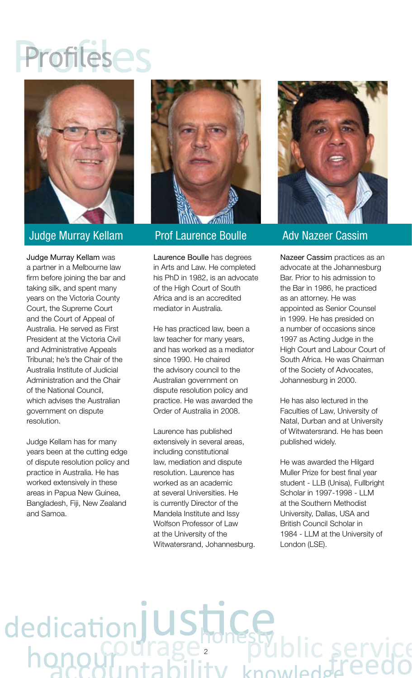### Profilese



#### Judge Murray Kellam

Judge Murray Kellam was a partner in a Melbourne law firm before joining the bar and taking silk, and spent many years on the Victoria County Court, the Supreme Court and the Court of Appeal of Australia. He served as First President at the Victoria Civil and Administrative Appeals Tribunal: he's the Chair of the Australia Institute of Judicial Administration and the Chair of the National Council, which advises the Australian government on dispute resolution.

Judge Kellam has for many years been at the cutting edge of dispute resolution policy and practice in Australia. He has worked extensively in these areas in Papua New Guinea, Bangladesh, Fiji, New Zealand and Samoa.

dedication



Prof Laurence Boulle

Laurence Boulle has degrees in Arts and Law. He completed his PhD in 1982, is an advocate of the High Court of South Africa and is an accredited mediator in Australia.

He has practiced law, been a law teacher for many years, and has worked as a mediator since 1990. He chaired the advisory council to the Australian government on dispute resolution policy and practice. He was awarded the Order of Australia in 2008.

Laurence has published extensively in several areas, including constitutional law, mediation and dispute resolution. Laurence has worked as an academic at several Universities. He is currently Director of the Mandela Institute and Issy Wolfson Professor of Law at the University of the Witwatersrand, Johannesburg.

2



#### Adv Nazeer Cassim

Nazeer Cassim practices as an advocate at the Johannesburg Bar. Prior to his admission to the Bar in 1986, he practiced as an attorney. He was appointed as Senior Counsel in 1999. He has presided on a number of occasions since 1997 as Acting Judge in the High Court and Labour Court of South Africa. He was Chairman of the Society of Advocates, Johannesburg in 2000.

He has also lectured in the Faculties of Law, University of Natal, Durban and at University of Witwatersrand. He has been published widely.

He was awarded the Hilgard Muller Prize for best final year student - LLB (Unisa), Fullbright Scholar in 1997-1998 - LLM at the Southern Methodist University, Dallas, USA and British Council Scholar in 1984 - LLM at the University of London (LSE).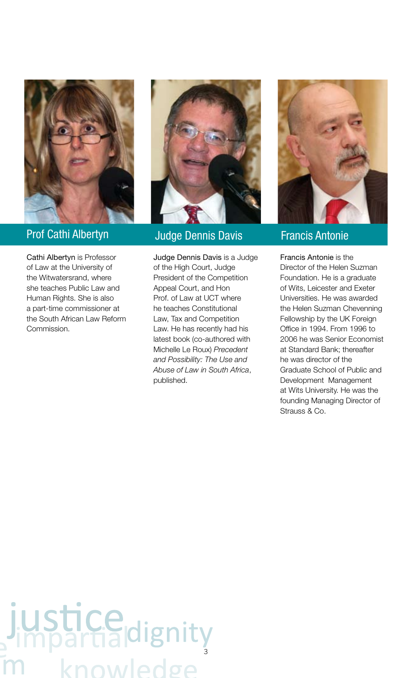

#### Prof Cathi Albertyn

Cathi Albertyn is Professor of Law at the University of the Witwatersrand, where she teaches Public Law and Human Rights. She is also a part-time commissioner at the South African Law Reform Commission.



#### Judge Dennis Davis

Judge Dennis Davis is a Judge of the High Court, Judge President of the Competition Appeal Court, and Hon Prof. of Law at UCT where he teaches Constitutional Law, Tax and Competition Law. He has recently had his latest book (co-authored with Michelle Le Roux) *Precedent and Possibility: The Use and Abuse of Law in South Africa*, published.



#### Francis Antonie

Francis Antonie is the Director of the Helen Suzman Foundation. He is a graduate of Wits, Leicester and Exeter Universities. He was awarded the Helen Suzman Chevenning Fellowship by the UK Foreign Office in 1994. From 1996 to 2006 he was Senior Economist at Standard Bank: thereafter he was director of the Graduate School of Public and Development Management at Wits University. He was the founding Managing Director of Strauss & Co.

### justice<sub>dignity</sub> **owledge**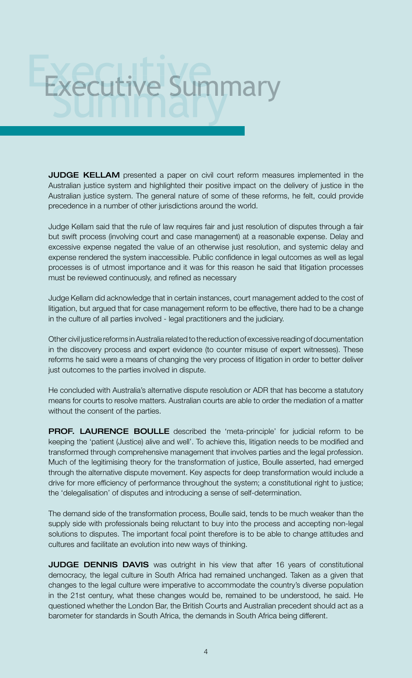# Executive Summary

JUDGE KELLAM presented a paper on civil court reform measures implemented in the Australian justice system and highlighted their positive impact on the delivery of justice in the Australian justice system. The general nature of some of these reforms, he felt, could provide precedence in a number of other jurisdictions around the world.

Judge Kellam said that the rule of law requires fair and just resolution of disputes through a fair but swift process (involving court and case management) at a reasonable expense. Delay and excessive expense negated the value of an otherwise just resolution, and systemic delay and expense rendered the system inaccessible. Public confidence in legal outcomes as well as legal processes is of utmost importance and it was for this reason he said that litigation processes must be reviewed continuously, and refined as necessary

Judge Kellam did acknowledge that in certain instances, court management added to the cost of litigation, but argued that for case management reform to be effective, there had to be a change in the culture of all parties involved - legal practitioners and the judiciary.

Other civil justice reforms in Australia related to the reduction of excessive reading of documentation in the discovery process and expert evidence (to counter misuse of expert witnesses). These reforms he said were a means of changing the very process of litigation in order to better deliver just outcomes to the parties involved in dispute.

He concluded with Australia's alternative dispute resolution or ADR that has become a statutory means for courts to resolve matters. Australian courts are able to order the mediation of a matter without the consent of the parties.

**PROF. LAURENCE BOULLE** described the 'meta-principle' for judicial reform to be keeping the 'patient (Justice) alive and well'. To achieve this, litigation needs to be modified and transformed through comprehensive management that involves parties and the legal profession. Much of the legitimising theory for the transformation of justice, Boulle asserted, had emerged through the alternative dispute movement. Key aspects for deep transformation would include a drive for more efficiency of performance throughout the system; a constitutional right to justice; the 'delegalisation' of disputes and introducing a sense of self-determination.

The demand side of the transformation process, Boulle said, tends to be much weaker than the supply side with professionals being reluctant to buy into the process and accepting non-legal solutions to disputes. The important focal point therefore is to be able to change attitudes and cultures and facilitate an evolution into new ways of thinking.

JUDGE DENNIS DAVIS was outright in his view that after 16 years of constitutional democracy, the legal culture in South Africa had remained unchanged. Taken as a given that changes to the legal culture were imperative to accommodate the country's diverse population in the 21st century, what these changes would be, remained to be understood, he said. He questioned whether the London Bar, the British Courts and Australian precedent should act as a barometer for standards in South Africa, the demands in South Africa being different.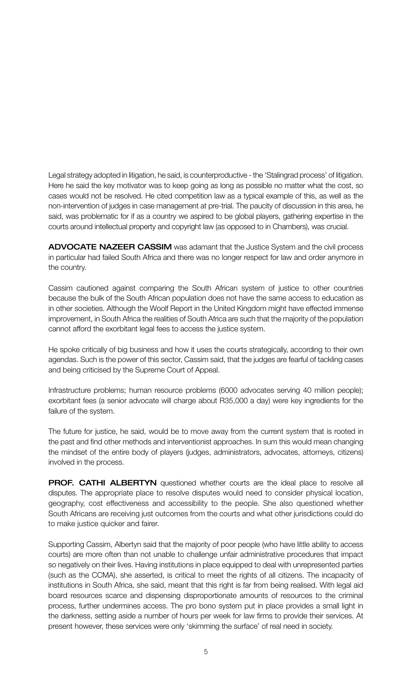Legal strategy adopted in litigation, he said, is counterproductive - the 'Stalingrad process' of litigation. Here he said the key motivator was to keep going as long as possible no matter what the cost, so cases would not be resolved. He cited competition law as a typical example of this, as well as the non-intervention of judges in case management at pre-trial. The paucity of discussion in this area, he said, was problematic for if as a country we aspired to be global players, gathering expertise in the courts around intellectual property and copyright law (as opposed to in Chambers), was crucial.

ADVOCATE NAZEER CASSIM was adamant that the Justice System and the civil process in particular had failed South Africa and there was no longer respect for law and order anymore in the country.

Cassim cautioned against comparing the South African system of justice to other countries because the bulk of the South African population does not have the same access to education as in other societies. Although the Woolf Report in the United Kingdom might have effected immense improvement, in South Africa the realities of South Africa are such that the majority of the population cannot afford the exorbitant legal fees to access the justice system.

He spoke critically of big business and how it uses the courts strategically, according to their own agendas. Such is the power of this sector, Cassim said, that the judges are fearful of tackling cases and being criticised by the Supreme Court of Appeal.

Infrastructure problems; human resource problems (6000 advocates serving 40 million people); exorbitant fees (a senior advocate will charge about R35,000 a day) were key ingredients for the failure of the system.

The future for justice, he said, would be to move away from the current system that is rooted in the past and find other methods and interventionist approaches. In sum this would mean changing the mindset of the entire body of players (judges, administrators, advocates, attorneys, citizens) involved in the process.

**PROF. CATHI ALBERTYN** questioned whether courts are the ideal place to resolve all disputes. The appropriate place to resolve disputes would need to consider physical location, geography, cost effectiveness and accessibility to the people. She also questioned whether South Africans are receiving just outcomes from the courts and what other jurisdictions could do to make justice quicker and fairer.

Supporting Cassim, Albertyn said that the majority of poor people (who have little ability to access courts) are more often than not unable to challenge unfair administrative procedures that impact so negatively on their lives. Having institutions in place equipped to deal with unrepresented parties (such as the CCMA), she asserted, is critical to meet the rights of all citizens. The incapacity of institutions in South Africa, she said, meant that this right is far from being realised. With legal aid board resources scarce and dispensing disproportionate amounts of resources to the criminal process, further undermines access. The pro bono system put in place provides a small light in the darkness, setting aside a number of hours per week for law firms to provide their services. At present however, these services were only 'skimming the surface' of real need in society.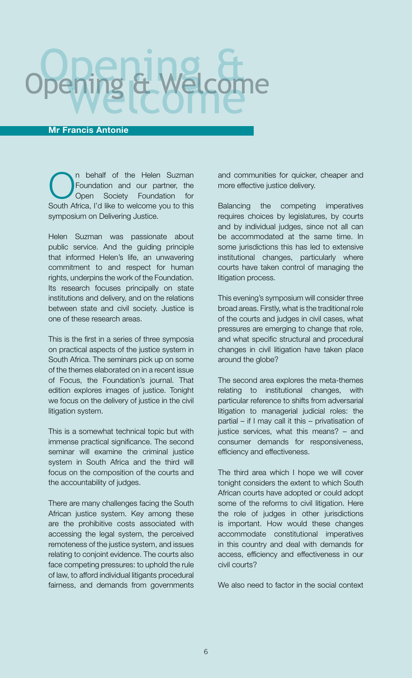#### Mr Francis Antonie

n behalf of the Helen Suzman Foundation and our partner, the Open Society Foundation for South Africa, I'd like to welcome you to this symposium on Delivering Justice.

Helen Suzman was passionate about public service. And the guiding principle that informed Helen's life, an unwavering commitment to and respect for human rights, underpins the work of the Foundation. Its research focuses principally on state institutions and delivery, and on the relations between state and civil society. Justice is one of these research areas.

This is the first in a series of three symposia on practical aspects of the justice system in South Africa. The seminars pick up on some of the themes elaborated on in a recent issue of Focus, the Foundation's journal. That edition explores images of justice. Tonight we focus on the delivery of justice in the civil litigation system.

This is a somewhat technical topic but with immense practical significance. The second seminar will examine the criminal justice system in South Africa and the third will focus on the composition of the courts and the accountability of judges.

There are many challenges facing the South African justice system. Key among these are the prohibitive costs associated with accessing the legal system, the perceived remoteness of the justice system, and issues relating to conjoint evidence. The courts also face competing pressures: to uphold the rule of law, to afford individual litigants procedural fairness, and demands from governments

and communities for quicker, cheaper and more effective justice delivery.

Balancing the competing imperatives requires choices by legislatures, by courts and by individual judges, since not all can be accommodated at the same time. In some jurisdictions this has led to extensive institutional changes, particularly where courts have taken control of managing the litigation process.

This evening's symposium will consider three broad areas. Firstly, what is the traditional role of the courts and judges in civil cases, what pressures are emerging to change that role, and what specific structural and procedural changes in civil litigation have taken place around the globe?

The second area explores the meta-themes relating to institutional changes, with particular reference to shifts from adversarial litigation to managerial judicial roles: the partial – if I may call it this – privatisation of justice services, what this means? – and consumer demands for responsiveness, efficiency and effectiveness.

The third area which I hope we will cover tonight considers the extent to which South African courts have adopted or could adopt some of the reforms to civil litigation. Here the role of judges in other jurisdictions is important. How would these changes accommodate constitutional imperatives in this country and deal with demands for access, efficiency and effectiveness in our civil courts?

We also need to factor in the social context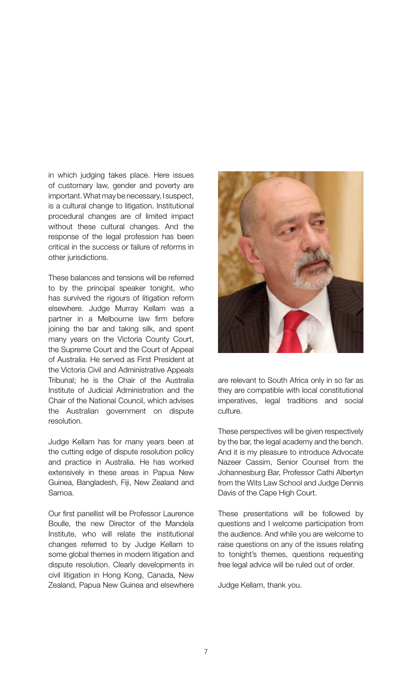in which judging takes place. Here issues of customary law, gender and poverty are important. What may be necessary, I suspect, is a cultural change to litigation. Institutional procedural changes are of limited impact without these cultural changes. And the response of the legal profession has been critical in the success or failure of reforms in other jurisdictions.

These balances and tensions will be referred to by the principal speaker tonight, who has survived the rigours of litigation reform elsewhere. Judge Murray Kellam was a partner in a Melbourne law firm before joining the bar and taking silk, and spent many years on the Victoria County Court, the Supreme Court and the Court of Appeal of Australia. He served as First President at the Victoria Civil and Administrative Appeals Tribunal; he is the Chair of the Australia Institute of Judicial Administration and the Chair of the National Council, which advises the Australian government on dispute resolution.

Judge Kellam has for many years been at the cutting edge of dispute resolution policy and practice in Australia. He has worked extensively in these areas in Papua New Guinea, Bangladesh, Fiji, New Zealand and Samoa.

Our first panellist will be Professor Laurence Boulle, the new Director of the Mandela Institute, who will relate the institutional changes referred to by Judge Kellam to some global themes in modern litigation and dispute resolution. Clearly developments in civil litigation in Hong Kong, Canada, New Zealand, Papua New Guinea and elsewhere



are relevant to South Africa only in so far as they are compatible with local constitutional imperatives, legal traditions and social culture.

These perspectives will be given respectively by the bar, the legal academy and the bench. And it is my pleasure to introduce Advocate Nazeer Cassim, Senior Counsel from the Johannesburg Bar, Professor Cathi Albertyn from the Wits Law School and Judge Dennis Davis of the Cape High Court.

These presentations will be followed by questions and I welcome participation from the audience. And while you are welcome to raise questions on any of the issues relating to tonight's themes, questions requesting free legal advice will be ruled out of order.

Judge Kellam, thank you.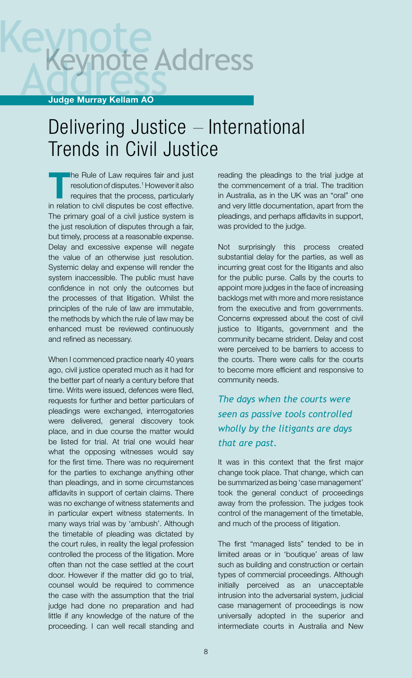# te Address

#### Judge Murray Kellam AO

#### Delivering Justice – International Trends in Civil Justice

The Rule of Law requires fair and just resolution of disputes.1 However it also requires that the process, particularly in relation to civil disputes be cost effective. The primary goal of a civil justice system is the just resolution of disputes through a fair, but timely, process at a reasonable expense. Delay and excessive expense will negate the value of an otherwise just resolution. Systemic delay and expense will render the system inaccessible. The public must have confidence in not only the outcomes but the processes of that litigation. Whilst the principles of the rule of law are immutable, the methods by which the rule of law may be enhanced must be reviewed continuously and refined as necessary.

When I commenced practice nearly 40 years ago, civil justice operated much as it had for the better part of nearly a century before that time. Writs were issued, defences were filed, requests for further and better particulars of pleadings were exchanged, interrogatories were delivered, general discovery took place, and in due course the matter would be listed for trial. At trial one would hear what the opposing witnesses would say for the first time. There was no requirement for the parties to exchange anything other than pleadings, and in some circumstances affidavits in support of certain claims. There was no exchange of witness statements and in particular expert witness statements. In many ways trial was by 'ambush'. Although the timetable of pleading was dictated by the court rules, in reality the legal profession controlled the process of the litigation. More often than not the case settled at the court door. However if the matter did go to trial, counsel would be required to commence the case with the assumption that the trial judge had done no preparation and had little if any knowledge of the nature of the proceeding. I can well recall standing and

reading the pleadings to the trial judge at the commencement of a trial. The tradition in Australia, as in the UK was an "oral" one and very little documentation, apart from the pleadings, and perhaps affidavits in support, was provided to the judge.

Not surprisingly this process created substantial delay for the parties, as well as incurring great cost for the litigants and also for the public purse. Calls by the courts to appoint more judges in the face of increasing backlogs met with more and more resistance from the executive and from governments. Concerns expressed about the cost of civil justice to litigants, government and the community became strident. Delay and cost were perceived to be barriers to access to the courts. There were calls for the courts to become more efficient and responsive to community needs.

#### *The days when the courts were seen as passive tools controlled wholly by the litigants are days that are past.*

It was in this context that the first major change took place. That change, which can be summarized as being 'case management' took the general conduct of proceedings away from the profession. The judges took control of the management of the timetable, and much of the process of litigation.

The first "managed lists" tended to be in limited areas or in 'boutique' areas of law such as building and construction or certain types of commercial proceedings. Although initially perceived as an unacceptable intrusion into the adversarial system, judicial case management of proceedings is now universally adopted in the superior and intermediate courts in Australia and New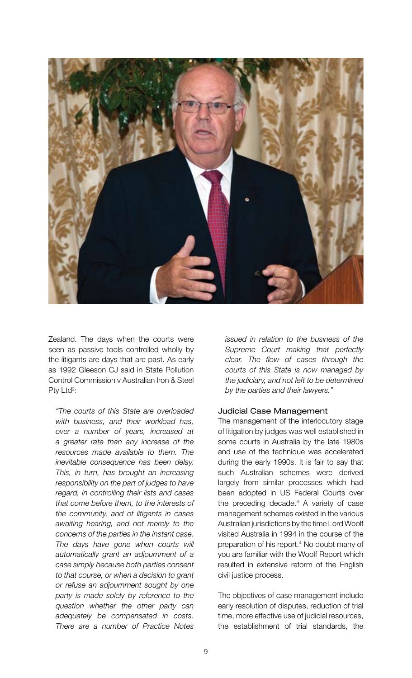

Zealand. The days when the courts were seen as passive tools controlled wholly by the litigants are days that are past. As early as 1992 Gleeson CJ said in State Pollution Control Commission v Australian Iron & Steel Pty Ltd<sup>2</sup>:

*"The courts of this State are overloaded with business, and their workload has, over a number of years, increased at a greater rate than any increase of the resources made available to them. The inevitable consequence has been delay. This, in turn, has brought an increasing responsibility on the part of judges to have regard, in controlling their lists and cases that come before them, to the interests of the community, and of litigants in cases awaiting hearing, and not merely to the concerns of the parties in the instant case. The days have gone when courts will automatically grant an adjournment of a case simply because both parties consent to that course, or when a decision to grant or refuse an adjournment sought by one party is made solely by reference to the question whether the other party can adequately be compensated in costs. There are a number of Practice Notes* 

*issued in relation to the business of the Supreme Court making that perfectly clear. The flow of cases through the courts of this State is now managed by the judiciary, and not left to be determined by the parties and their lawyers."* 

#### Judicial Case Management

The management of the interlocutory stage of litigation by judges was well established in some courts in Australia by the late 1980s and use of the technique was accelerated during the early 1990s. It is fair to say that such Australian schemes were derived largely from similar processes which had been adopted in US Federal Courts over the preceding decade.3 A variety of case management schemes existed in the various Australian jurisdictions by the time Lord Woolf visited Australia in 1994 in the course of the preparation of his report.<sup>4</sup> No doubt many of you are familiar with the Woolf Report which resulted in extensive reform of the English civil justice process.

The objectives of case management include early resolution of disputes, reduction of trial time, more effective use of judicial resources, the establishment of trial standards, the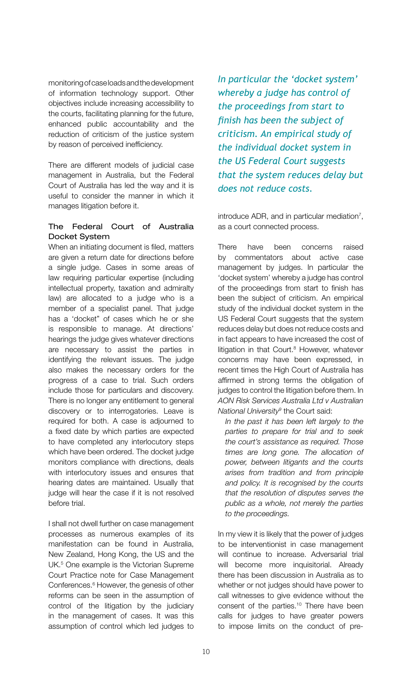monitoring of case loads and the development of information technology support. Other objectives include increasing accessibility to the courts, facilitating planning for the future, enhanced public accountability and the reduction of criticism of the justice system by reason of perceived inefficiency.

There are different models of judicial case management in Australia, but the Federal Court of Australia has led the way and it is useful to consider the manner in which it manages litigation before it.

#### The Federal Court of Australia Docket System

When an initiating document is filed, matters are given a return date for directions before a single judge. Cases in some areas of law requiring particular expertise (including intellectual property, taxation and admiralty law) are allocated to a judge who is a member of a specialist panel. That judge has a 'docket" of cases which he or she is responsible to manage. At directions' hearings the judge gives whatever directions are necessary to assist the parties in identifying the relevant issues. The judge also makes the necessary orders for the progress of a case to trial. Such orders include those for particulars and discovery. There is no longer any entitlement to general discovery or to interrogatories. Leave is required for both. A case is adjourned to a fixed date by which parties are expected to have completed any interlocutory steps which have been ordered. The docket judge monitors compliance with directions, deals with interlocutory issues and ensures that hearing dates are maintained. Usually that judge will hear the case if it is not resolved before trial.

I shall not dwell further on case management processes as numerous examples of its manifestation can be found in Australia, New Zealand, Hong Kong, the US and the UK.<sup>5</sup> One example is the Victorian Supreme Court Practice note for Case Management Conferences.<sup>6</sup> However, the genesis of other reforms can be seen in the assumption of control of the litigation by the judiciary in the management of cases. It was this assumption of control which led judges to

*In particular the 'docket system' whereby a judge has control of the proceedings from start to finish has been the subject of criticism. An empirical study of the individual docket system in the US Federal Court suggests that the system reduces delay but does not reduce costs.*

introduce ADR, and in particular mediation $<sup>7</sup>$ ,</sup> as a court connected process.

There have been concerns raised by commentators about active case management by judges. In particular the 'docket system' whereby a judge has control of the proceedings from start to finish has been the subject of criticism. An empirical study of the individual docket system in the US Federal Court suggests that the system reduces delay but does not reduce costs and in fact appears to have increased the cost of litigation in that Court.<sup>8</sup> However, whatever concerns may have been expressed, in recent times the High Court of Australia has affirmed in strong terms the obligation of judges to control the litigation before them. In *AON Risk Services Australia Ltd v Australian National University9* the Court said:

*In the past it has been left largely to the parties to prepare for trial and to seek the court's assistance as required. Those times are long gone. The allocation of power, between litigants and the courts arises from tradition and from principle and policy. It is recognised by the courts that the resolution of disputes serves the public as a whole, not merely the parties to the proceedings.*

In my view it is likely that the power of judges to be interventionist in case management will continue to increase. Adversarial trial will become more inquisitorial. Already there has been discussion in Australia as to whether or not judges should have power to call witnesses to give evidence without the consent of the parties.10 There have been calls for judges to have greater powers to impose limits on the conduct of pre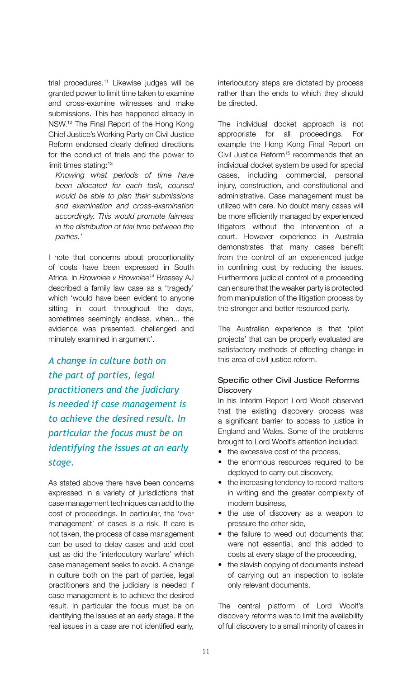trial procedures.<sup>11</sup> Likewise judges will be granted power to limit time taken to examine and cross-examine witnesses and make submissions. This has happened already in NSW.12 The Final Report of the Hong Kong Chief Justice's Working Party on Civil Justice Reform endorsed clearly defined directions for the conduct of trials and the power to limit times stating:13

*Knowing what periods of time have been allocated for each task, counsel would be able to plan their submissions and examination and cross-examination accordingly. This would promote fairness in the distribution of trial time between the parties.'*

I note that concerns about proportionality of costs have been expressed in South Africa. In *Brownlee v Brownlee14* Brassey AJ described a family law case as a 'tragedy' which 'would have been evident to anyone sitting in court throughout the days, sometimes seemingly endless, when... the evidence was presented, challenged and minutely examined in argument'.

*A change in culture both on the part of parties, legal practitioners and the judiciary is needed if case management is to achieve the desired result. In particular the focus must be on identifying the issues at an early stage.*

As stated above there have been concerns expressed in a variety of jurisdictions that case management techniques can add to the cost of proceedings. In particular, the 'over management' of cases is a risk. If care is not taken, the process of case management can be used to delay cases and add cost just as did the 'interlocutory warfare' which case management seeks to avoid. A change in culture both on the part of parties, legal practitioners and the judiciary is needed if case management is to achieve the desired result. In particular the focus must be on identifying the issues at an early stage. If the real issues in a case are not identified early,

interlocutory steps are dictated by process rather than the ends to which they should be directed.

The individual docket approach is not appropriate for all proceedings. For example the Hong Kong Final Report on Civil Justice Reform<sup>15</sup> recommends that an individual docket system be used for special cases, including commercial, personal injury, construction, and constitutional and administrative. Case management must be utilized with care. No doubt many cases will be more efficiently managed by experienced litigators without the intervention of a court. However experience in Australia demonstrates that many cases benefit from the control of an experienced judge in confining cost by reducing the issues. Furthermore judicial control of a proceeding can ensure that the weaker party is protected from manipulation of the litigation process by the stronger and better resourced party.

The Australian experience is that 'pilot projects' that can be properly evaluated are satisfactory methods of effecting change in this area of civil justice reform.

#### Specific other Civil Justice Reforms **Discovery**

In his Interim Report Lord Woolf observed that the existing discovery process was a significant barrier to access to justice in England and Wales. Some of the problems brought to Lord Woolf's attention included:

- the excessive cost of the process,
- the enormous resources required to be deployed to carry out discovery,
- the increasing tendency to record matters in writing and the greater complexity of modern business,
- the use of discovery as a weapon to pressure the other side,
- the failure to weed out documents that were not essential, and this added to costs at every stage of the proceeding,
- the slavish copying of documents instead of carrying out an inspection to isolate only relevant documents.

The central platform of Lord Woolf's discovery reforms was to limit the availability of full discovery to a small minority of cases in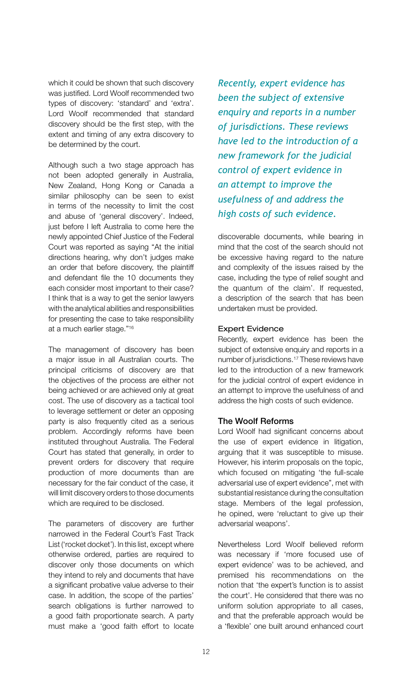which it could be shown that such discovery was justified. Lord Woolf recommended two types of discovery: 'standard' and 'extra'. Lord Woolf recommended that standard discovery should be the first step, with the extent and timing of any extra discovery to be determined by the court.

Although such a two stage approach has not been adopted generally in Australia, New Zealand, Hong Kong or Canada a similar philosophy can be seen to exist in terms of the necessity to limit the cost and abuse of 'general discovery'. Indeed, just before I left Australia to come here the newly appointed Chief Justice of the Federal Court was reported as saying "At the initial directions hearing, why don't judges make an order that before discovery, the plaintiff and defendant file the 10 documents they each consider most important to their case? I think that is a way to get the senior lawyers with the analytical abilities and responsibilities for presenting the case to take responsibility at a much earlier stage."16

The management of discovery has been a major issue in all Australian courts. The principal criticisms of discovery are that the objectives of the process are either not being achieved or are achieved only at great cost. The use of discovery as a tactical tool to leverage settlement or deter an opposing party is also frequently cited as a serious problem. Accordingly reforms have been instituted throughout Australia. The Federal Court has stated that generally, in order to prevent orders for discovery that require production of more documents than are necessary for the fair conduct of the case, it will limit discovery orders to those documents which are required to be disclosed.

The parameters of discovery are further narrowed in the Federal Court's Fast Track List ('rocket docket'). In this list, except where otherwise ordered, parties are required to discover only those documents on which they intend to rely and documents that have a significant probative value adverse to their case. In addition, the scope of the parties' search obligations is further narrowed to a good faith proportionate search. A party must make a 'good faith effort to locate

*Recently, expert evidence has been the subject of extensive enquiry and reports in a number of jurisdictions. These reviews have led to the introduction of a new framework for the judicial control of expert evidence in an attempt to improve the usefulness of and address the high costs of such evidence.*

discoverable documents, while bearing in mind that the cost of the search should not be excessive having regard to the nature and complexity of the issues raised by the case, including the type of relief sought and the quantum of the claim'. If requested, a description of the search that has been undertaken must be provided.

#### Expert Evidence

Recently, expert evidence has been the subject of extensive enquiry and reports in a number of jurisdictions.17 These reviews have led to the introduction of a new framework for the judicial control of expert evidence in an attempt to improve the usefulness of and address the high costs of such evidence.

#### The Woolf Reforms

Lord Woolf had significant concerns about the use of expert evidence in litigation, arguing that it was susceptible to misuse. However, his interim proposals on the topic, which focused on mitigating 'the full-scale adversarial use of expert evidence", met with substantial resistance during the consultation stage. Members of the legal profession, he opined, were 'reluctant to give up their adversarial weapons'.

Nevertheless Lord Woolf believed reform was necessary if 'more focused use of expert evidence' was to be achieved, and premised his recommendations on the notion that 'the expert's function is to assist the court'. He considered that there was no uniform solution appropriate to all cases, and that the preferable approach would be a 'flexible' one built around enhanced court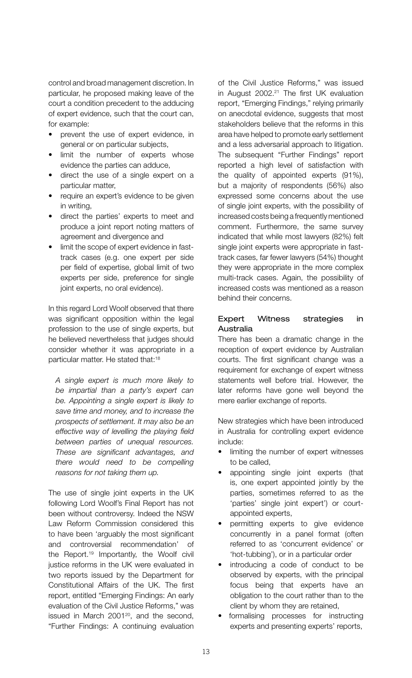control and broad management discretion. In particular, he proposed making leave of the court a condition precedent to the adducing of expert evidence, such that the court can, for example:

- prevent the use of expert evidence, in general or on particular subjects,
- limit the number of experts whose evidence the parties can adduce,
- direct the use of a single expert on a particular matter,
- require an expert's evidence to be given in writing,
- • direct the parties' experts to meet and produce a joint report noting matters of agreement and divergence and
- limit the scope of expert evidence in fasttrack cases (e.g. one expert per side per field of expertise, global limit of two experts per side, preference for single joint experts, no oral evidence).

In this regard Lord Woolf observed that there was significant opposition within the legal profession to the use of single experts, but he believed nevertheless that judges should consider whether it was appropriate in a particular matter. He stated that:18

*A single expert is much more likely to be impartial than a party's expert can be. Appointing a single expert is likely to save time and money, and to increase the prospects of settlement. It may also be an effective way of levelling the playing field between parties of unequal resources. These are significant advantages, and there would need to be compelling reasons for not taking them up.*

The use of single joint experts in the UK following Lord Woolf's Final Report has not been without controversy. Indeed the NSW Law Reform Commission considered this to have been 'arguably the most significant and controversial recommendation' of the Report.19 Importantly, the Woolf civil justice reforms in the UK were evaluated in two reports issued by the Department for Constitutional Affairs of the UK. The first report, entitled "Emerging Findings: An early evaluation of the Civil Justice Reforms," was issued in March 2001<sup>20</sup>, and the second, "Further Findings: A continuing evaluation

of the Civil Justice Reforms," was issued in August 2002.<sup>21</sup> The first UK evaluation report, "Emerging Findings," relying primarily on anecdotal evidence, suggests that most stakeholders believe that the reforms in this area have helped to promote early settlement and a less adversarial approach to litigation. The subsequent "Further Findings" report reported a high level of satisfaction with the quality of appointed experts (91%), but a majority of respondents (56%) also expressed some concerns about the use of single joint experts, with the possibility of increased costs being a frequently mentioned comment. Furthermore, the same survey indicated that while most lawyers (82%) felt single joint experts were appropriate in fasttrack cases, far fewer lawyers (54%) thought they were appropriate in the more complex multi-track cases. Again, the possibility of increased costs was mentioned as a reason behind their concerns.

#### Expert Witness strategies in Australia

There has been a dramatic change in the reception of expert evidence by Australian courts. The first significant change was a requirement for exchange of expert witness statements well before trial. However, the later reforms have gone well beyond the mere earlier exchange of reports.

New strategies which have been introduced in Australia for controlling expert evidence include:

- limiting the number of expert witnesses to be called,
- appointing single joint experts (that is, one expert appointed jointly by the parties, sometimes referred to as the 'parties' single joint expert') or courtappointed experts,
- permitting experts to give evidence concurrently in a panel format (often referred to as 'concurrent evidence' or 'hot-tubbing'), or in a particular order
- introducing a code of conduct to be observed by experts, with the principal focus being that experts have an obligation to the court rather than to the client by whom they are retained,
- formalising processes for instructing experts and presenting experts' reports,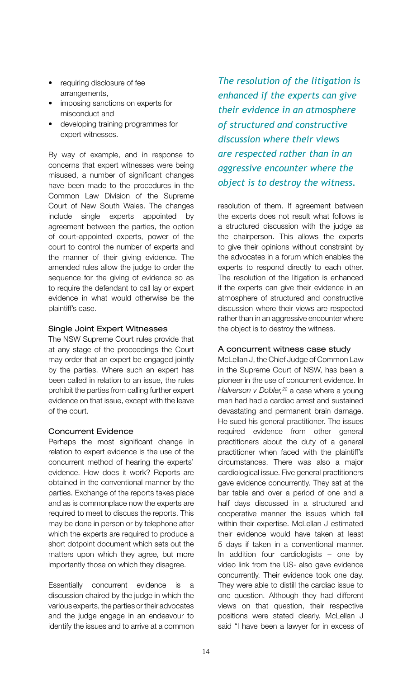- requiring disclosure of fee arrangements,
- imposing sanctions on experts for misconduct and
- developing training programmes for expert witnesses.

By way of example, and in response to concerns that expert witnesses were being misused, a number of significant changes have been made to the procedures in the Common Law Division of the Supreme Court of New South Wales. The changes include single experts appointed by agreement between the parties, the option of court-appointed experts, power of the court to control the number of experts and the manner of their giving evidence. The amended rules allow the judge to order the sequence for the giving of evidence so as to require the defendant to call lay or expert evidence in what would otherwise be the plaintiff's case.

#### Single Joint Expert Witnesses

The NSW Supreme Court rules provide that at any stage of the proceedings the Court may order that an expert be engaged jointly by the parties. Where such an expert has been called in relation to an issue, the rules prohibit the parties from calling further expert evidence on that issue, except with the leave of the court.

#### Concurrent Evidence

Perhaps the most significant change in relation to expert evidence is the use of the concurrent method of hearing the experts' evidence. How does it work? Reports are obtained in the conventional manner by the parties. Exchange of the reports takes place and as is commonplace now the experts are required to meet to discuss the reports. This may be done in person or by telephone after which the experts are required to produce a short dotpoint document which sets out the matters upon which they agree, but more importantly those on which they disagree.

Essentially concurrent evidence is a discussion chaired by the judge in which the various experts, the parties or their advocates and the judge engage in an endeavour to identify the issues and to arrive at a common

*The resolution of the litigation is enhanced if the experts can give their evidence in an atmosphere of structured and constructive discussion where their views are respected rather than in an aggressive encounter where the object is to destroy the witness.*

resolution of them. If agreement between the experts does not result what follows is a structured discussion with the judge as the chairperson. This allows the experts to give their opinions without constraint by the advocates in a forum which enables the experts to respond directly to each other. The resolution of the litigation is enhanced if the experts can give their evidence in an atmosphere of structured and constructive discussion where their views are respected rather than in an aggressive encounter where the object is to destroy the witness.

#### A concurrent witness case study

McLellan J, the Chief Judge of Common Law in the Supreme Court of NSW, has been a pioneer in the use of concurrent evidence. In *Halverson v Dobler,22* a case where a young man had had a cardiac arrest and sustained devastating and permanent brain damage. He sued his general practitioner. The issues required evidence from other general practitioners about the duty of a general practitioner when faced with the plaintiff's circumstances. There was also a major cardiological issue. Five general practitioners gave evidence concurrently. They sat at the bar table and over a period of one and a half days discussed in a structured and cooperative manner the issues which fell within their expertise. McLellan J estimated their evidence would have taken at least 5 days if taken in a conventional manner. In addition four cardiologists – one by video link from the US- also gave evidence concurrently. Their evidence took one day. They were able to distill the cardiac issue to one question. Although they had different views on that question, their respective positions were stated clearly. McLellan J said "I have been a lawyer for in excess of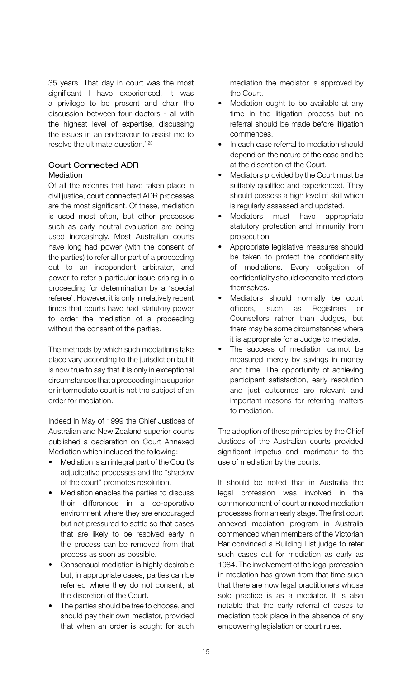35 years. That day in court was the most significant I have experienced. It was a privilege to be present and chair the discussion between four doctors - all with the highest level of expertise, discussing the issues in an endeavour to assist me to resolve the ultimate question."<sup>23</sup>

#### Court Connected ADR Mediation

Of all the reforms that have taken place in civil justice, court connected ADR processes are the most significant. Of these, mediation is used most often, but other processes such as early neutral evaluation are being used increasingly. Most Australian courts have long had power (with the consent of the parties) to refer all or part of a proceeding out to an independent arbitrator, and power to refer a particular issue arising in a proceeding for determination by a 'special referee'. However, it is only in relatively recent times that courts have had statutory power to order the mediation of a proceeding without the consent of the parties.

The methods by which such mediations take place vary according to the jurisdiction but it is now true to say that it is only in exceptional circumstances that a proceeding in a superior or intermediate court is not the subject of an order for mediation.

Indeed in May of 1999 the Chief Justices of Australian and New Zealand superior courts published a declaration on Court Annexed Mediation which included the following:

- Mediation is an integral part of the Court's adjudicative processes and the "shadow of the court" promotes resolution.
- Mediation enables the parties to discuss their differences in a co-operative environment where they are encouraged but not pressured to settle so that cases that are likely to be resolved early in the process can be removed from that process as soon as possible.
- Consensual mediation is highly desirable but, in appropriate cases, parties can be referred where they do not consent, at the discretion of the Court.
- The parties should be free to choose, and should pay their own mediator, provided that when an order is sought for such

mediation the mediator is approved by the Court.

- Mediation ought to be available at any time in the litigation process but no referral should be made before litigation commences.
- In each case referral to mediation should depend on the nature of the case and be at the discretion of the Court.
- Mediators provided by the Court must be suitably qualified and experienced. They should possess a high level of skill which is regularly assessed and updated.
- Mediators must have appropriate statutory protection and immunity from prosecution.
- Appropriate legislative measures should be taken to protect the confidentiality of mediations. Every obligation of confidentiality should extend to mediators themselves.
- Mediators should normally be court officers, such as Registrars or Counsellors rather than Judges, but there may be some circumstances where it is appropriate for a Judge to mediate.
- The success of mediation cannot be measured merely by savings in money and time. The opportunity of achieving participant satisfaction, early resolution and just outcomes are relevant and important reasons for referring matters to mediation.

The adoption of these principles by the Chief Justices of the Australian courts provided significant impetus and imprimatur to the use of mediation by the courts.

It should be noted that in Australia the legal profession was involved in the commencement of court annexed mediation processes from an early stage. The first court annexed mediation program in Australia commenced when members of the Victorian Bar convinced a Building List judge to refer such cases out for mediation as early as 1984. The involvement of the legal profession in mediation has grown from that time such that there are now legal practitioners whose sole practice is as a mediator. It is also notable that the early referral of cases to mediation took place in the absence of any empowering legislation or court rules.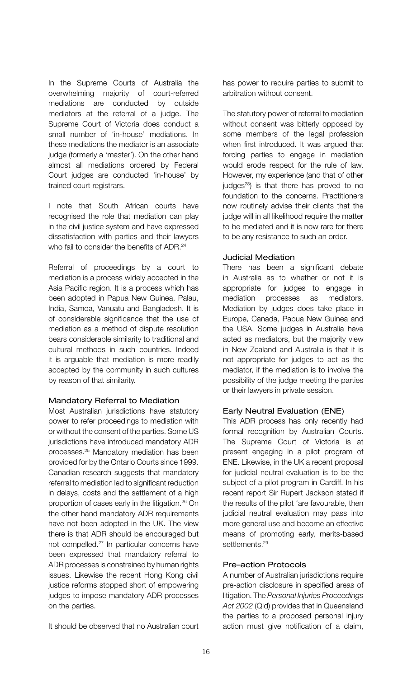In the Supreme Courts of Australia the overwhelming majority of court-referred mediations are conducted by outside mediators at the referral of a judge. The Supreme Court of Victoria does conduct a small number of 'in-house' mediations. In these mediations the mediator is an associate judge (formerly a 'master'). On the other hand almost all mediations ordered by Federal Court judges are conducted 'in-house' by trained court registrars.

I note that South African courts have recognised the role that mediation can play in the civil justice system and have expressed dissatisfaction with parties and their lawyers who fail to consider the benefits of ADR.<sup>24</sup>

Referral of proceedings by a court to mediation is a process widely accepted in the Asia Pacific region. It is a process which has been adopted in Papua New Guinea, Palau, India, Samoa, Vanuatu and Bangladesh. It is of considerable significance that the use of mediation as a method of dispute resolution bears considerable similarity to traditional and cultural methods in such countries. Indeed it is arguable that mediation is more readily accepted by the community in such cultures by reason of that similarity.

#### Mandatory Referral to Mediation

Most Australian jurisdictions have statutory power to refer proceedings to mediation with or without the consent of the parties. Some US jurisdictions have introduced mandatory ADR processes.25 Mandatory mediation has been provided for by the Ontario Courts since 1999. Canadian research suggests that mandatory referral to mediation led to significant reduction in delays, costs and the settlement of a high proportion of cases early in the litigation.26 On the other hand mandatory ADR requirements have not been adopted in the UK. The view there is that ADR should be encouraged but not compelled.27 In particular concerns have been expressed that mandatory referral to ADR processes is constrained by human rights issues. Likewise the recent Hong Kong civil justice reforms stopped short of empowering judges to impose mandatory ADR processes on the parties.

It should be observed that no Australian court

has power to require parties to submit to arbitration without consent.

The statutory power of referral to mediation without consent was bitterly opposed by some members of the legal profession when first introduced. It was argued that forcing parties to engage in mediation would erode respect for the rule of law. However, my experience (and that of other judges<sup>28</sup>) is that there has proved to no foundation to the concerns. Practitioners now routinely advise their clients that the judge will in all likelihood require the matter to be mediated and it is now rare for there to be any resistance to such an order.

#### Judicial Mediation

There has been a significant debate in Australia as to whether or not it is appropriate for judges to engage in mediation processes as mediators. Mediation by judges does take place in Europe, Canada, Papua New Guinea and the USA. Some judges in Australia have acted as mediators, but the majority view in New Zealand and Australia is that it is not appropriate for judges to act as the mediator, if the mediation is to involve the possibility of the judge meeting the parties or their lawyers in private session.

#### Early Neutral Evaluation (ENE)

This ADR process has only recently had formal recognition by Australian Courts. The Supreme Court of Victoria is at present engaging in a pilot program of ENE. Likewise, in the UK a recent proposal for judicial neutral evaluation is to be the subject of a pilot program in Cardiff. In his recent report Sir Rupert Jackson stated if the results of the pilot 'are favourable, then judicial neutral evaluation may pass into more general use and become an effective means of promoting early, merits-based settlements.<sup>29</sup>

#### Pre–action Protocols

A number of Australian jurisdictions require pre-action disclosure in specified areas of litigation. The *Personal Injuries Proceedings Act 2002* (Qld) provides that in Queensland the parties to a proposed personal injury action must give notification of a claim,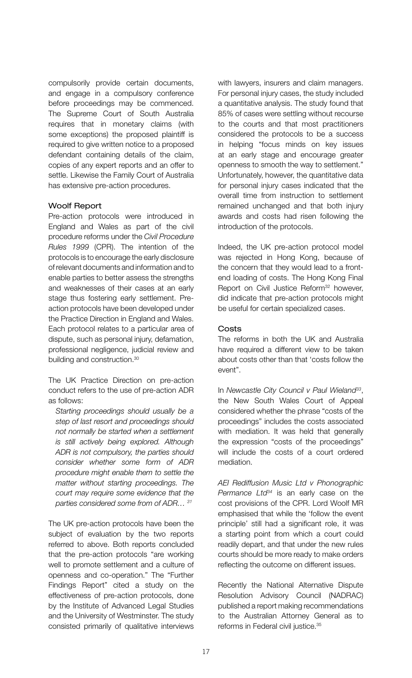compulsorily provide certain documents, and engage in a compulsory conference before proceedings may be commenced. The Supreme Court of South Australia requires that in monetary claims (with some exceptions) the proposed plaintiff is required to give written notice to a proposed defendant containing details of the claim, copies of any expert reports and an offer to settle. Likewise the Family Court of Australia has extensive pre-action procedures.

#### Woolf Report

Pre-action protocols were introduced in England and Wales as part of the civil procedure reforms under the *Civil Procedure Rules 1999* (CPR). The intention of the protocols is to encourage the early disclosure of relevant documents and information and to enable parties to better assess the strengths and weaknesses of their cases at an early stage thus fostering early settlement. Preaction protocols have been developed under the Practice Direction in England and Wales. Each protocol relates to a particular area of dispute, such as personal injury, defamation, professional negligence, judicial review and building and construction.<sup>30</sup>

The UK Practice Direction on pre-action conduct refers to the use of pre-action ADR as follows:

*Starting proceedings should usually be a step of last resort and proceedings should not normally be started when a settlement is still actively being explored. Although ADR is not compulsory, the parties should consider whether some form of ADR procedure might enable them to settle the matter without starting proceedings. The court may require some evidence that the parties considered some from of ADR… 31*

The UK pre-action protocols have been the subject of evaluation by the two reports referred to above. Both reports concluded that the pre-action protocols "are working well to promote settlement and a culture of openness and co-operation." The "Further Findings Report" cited a study on the effectiveness of pre-action protocols, done by the Institute of Advanced Legal Studies and the University of Westminster. The study consisted primarily of qualitative interviews

with lawyers, insurers and claim managers. For personal injury cases, the study included a quantitative analysis. The study found that 85% of cases were settling without recourse to the courts and that most practitioners considered the protocols to be a success in helping "focus minds on key issues at an early stage and encourage greater openness to smooth the way to settlement." Unfortunately, however, the quantitative data for personal injury cases indicated that the overall time from instruction to settlement remained unchanged and that both injury awards and costs had risen following the introduction of the protocols.

Indeed, the UK pre-action protocol model was rejected in Hong Kong, because of the concern that they would lead to a frontend loading of costs. The Hong Kong Final Report on Civil Justice Reform<sup>32</sup> however, did indicate that pre-action protocols might be useful for certain specialized cases.

#### Costs

The reforms in both the UK and Australia have required a different view to be taken about costs other than that 'costs follow the event".

In *Newcastle City Council v Paul Wieland33*, the New South Wales Court of Appeal considered whether the phrase "costs of the proceedings" includes the costs associated with mediation. It was held that generally the expression "costs of the proceedings" will include the costs of a court ordered mediation.

*AEI Rediffusion Music Ltd v Phonographic Permance Ltd34* is an early case on the cost provisions of the CPR. Lord Woolf MR emphasised that while the 'follow the event principle' still had a significant role, it was a starting point from which a court could readily depart, and that under the new rules courts should be more ready to make orders reflecting the outcome on different issues.

Recently the National Alternative Dispute Resolution Advisory Council (NADRAC) published a report making recommendations to the Australian Attorney General as to reforms in Federal civil justice.<sup>35</sup>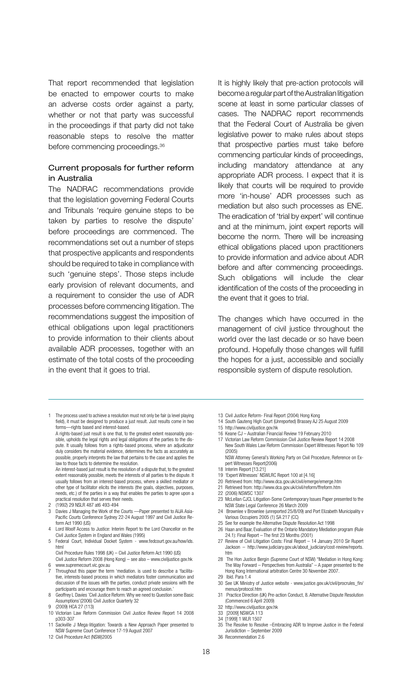That report recommended that legislation be enacted to empower courts to make an adverse costs order against a party, whether or not that party was successful in the proceedings if that party did not take reasonable steps to resolve the matter before commencing proceedings.36

#### Current proposals for further reform in Australia

The NADRAC recommendations provide that the legislation governing Federal Courts and Tribunals 'require genuine steps to be taken by parties to resolve the dispute' before proceedings are commenced. The recommendations set out a number of steps that prospective applicants and respondents should be required to take in compliance with such 'genuine steps'. Those steps include early provision of relevant documents, and a requirement to consider the use of ADR processes before commencing litigation. The recommendations suggest the imposition of ethical obligations upon legal practitioners to provide information to their clients about available ADR processes, together with an estimate of the total costs of the proceeding in the event that it goes to trial.

The process used to achieve a resolution must not only be fair (a level playing field), it must be designed to produce a just result. Just results come in two forms—rights based and interest-based.

A rights-based just result is one that, to the greatest extent reasonably possible, upholds the legal rights and legal obligations of the parties to the dispute. It usually follows from a rights-based process, where an adjudicator duly considers the material evidence, determines the facts as accurately as possible, properly interprets the law that pertains to the case and applies the law to those facts to determine the resolution.

An interest-based just result is the resolution of a dispute that, to the greatest extent reasonably possible, meets the interests of all parties to the dispute. It usually follows from an interest-based process, where a skilled mediator or other type of facilitator elicits the interests (the goals, objectives, purposes, needs, etc.) of the parties in a way that enables the parties to agree upon a practical resolution that serves their needs.

- 2 (1992) 29 NSLR 487 at6 493-494
- Davies J Managing the Work of the Courts -- Paper presented to AIJA Asia-Pacific Courts Conference Sydney 22-24 August 1997 and Civil Justice Reform Act 1990 (US)
- Lord Woolf Access to Justice: Interim Report to the Lord Chancellor on the Civil Justice System in England and Wales (1995)
- 5 Federal Court, Individual Docket System www.fedcourt.gov.au/how/ids. html

Civil Procedure Rules 1998 (UK) – Civil Justice Reform Act 1990 (US) Civil Justice Reform 2008 (Hong Kong) – see also – www.civiljustice.gov.hk www.supremecourt.vic.gov.au

7 Throughout this paper the term 'mediation. is used to describe a 'facilita-tive, interests-based process in which mediators foster communication and discussion of the issues with the parties, conduct private sessions with the

participants and encourage them to reach an agreed conclusion.' 8 Geoffrey L Davies 'Civil Justice Reform: Why we need to Question some Basic Assumptions'(2006) Civil Justice Quarterly 32

9 (2009) HCA 27 (113) 10 Victorian Law Reform Commission Civil Justice Review Report 14 2008 p303-307

11 Sackville J Mega-litigation: Towards a New Approach Paper presented to NSW Supreme Court Conference 17-19 August 2007

12 Civil Procedure Act (NSW)2005

It is highly likely that pre-action protocols will become a regular part of the Australian litigation scene at least in some particular classes of cases. The NADRAC report recommends that the Federal Court of Australia be given legislative power to make rules about steps that prospective parties must take before commencing particular kinds of proceedings, including mandatory attendance at any appropriate ADR process. I expect that it is likely that courts will be required to provide more 'in-house' ADR processes such as mediation but also such processes as ENE. The eradication of 'trial by expert' will continue and at the minimum, joint expert reports will become the norm. There will be increasing ethical obligations placed upon practitioners to provide information and advice about ADR before and after commencing proceedings. Such obligations will include the clear identification of the costs of the proceeding in the event that it goes to trial.

The changes which have occurred in the management of civil justice throughout the world over the last decade or so have been profound. Hopefully those changes will fulfill the hopes for a just, accessible and socially responsible system of dispute resolution.

- 13 Civil Justice Reform- Final Report (2004) Hong Kong
- 14 South Gauteng High Court (Unreported) Brassey AJ 25 August 2009
- 15 http://www.civiljustice.gov.hk
- 16 Keane CJ Australian Financial Review 19 February 2010 17 Victorian Law Reform Commission Civil Justice Review Report 14 2008 New South Wales Law Reform Commission Expert Witnesses Report No 109 (2005)
- NSW Attorney General's Working Party on Civil Procedure, Reference on Expert Witnesses Report(2006)
- 18 Interim Report [13.21]
- 19 'Expert Witnesses' NSWLRC Report 100 at [4.16]
- 20 Retrieved from: http://www.dca.gov.uk/civil/emerge/emerge.htm
- 21 Retrieved from: http://www.dca.gov.uk/civil/reform/ffreform.htm
- 22 (2006) NSWSC 1307
- 23 McLellan CJCL Litigation-Some Contemporary Issues Paper presented to the NSW State Legal Conference 26 March 2009
- 24 Brownlee v Brownlee (unreported 25/8/09) and Port Elizabeth Municipality v
- Various Occupiers 2005 (1) SA 217 (CC) 25 See for example the Alternative Dispute Resolution Act 1998
- 26 Haan and Baar, Evaluation of the Ontario Mandatory Mediation program (Rule 24.1): Final Report – The first 23 Months (2001)
- 27 Review of Civil Litigation Costs: Final Report 14 January 2010 Sir Rupert Jackson – http://www.judiciary.gov.uk/about\_judiciary/cost-review/reports. htm
- 28 The Hon Justice Bergin (Supreme Court of NSW) "Mediation in Hong Kong: The Way Forward – Perspectives from Australia" – A paper presented to the Hong Kong International arbitration Centre 30 November 2007.
- 29 Ibid. Para 1.4 30 See UK Ministry of Justice website - www.justice.gov.uk/civil/procrules\_fin/ menus/protocol.htm
- 31 Practice Direction (UK) Pre-action Conduct, 8. Alternative Dispute Resolution (Commenced 6 April 2009)
- 32 http://www.civiljustice.gov.hk
- 33 [2009] NSWCA 113
- 34 [1999] 1 WLR 1507
- 35 The Resolve to Resolve –Embracing ADR to Improve Justice in the Federal Jurisdiction September 2009
- 36 Recommendation 2.6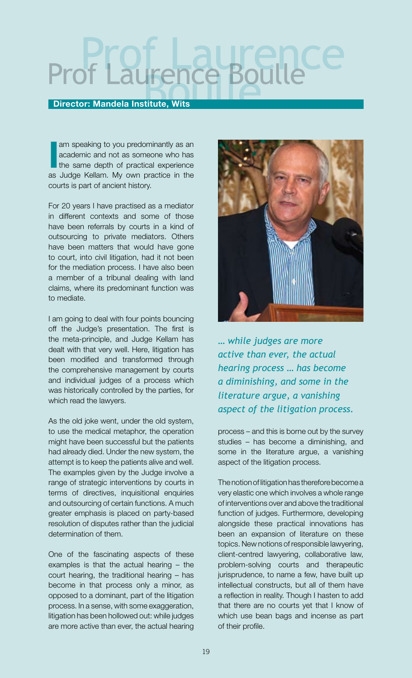# Prof Laurence Boulle

#### Director: Mandela Institute, Wits

I am speaking to you predominantly as an academic and not as someone who has the same depth of practical experience as Judge Kellam. My own practice in the am speaking to you predominantly as an academic and not as someone who has the same depth of practical experience courts is part of ancient history.

For 20 years I have practised as a mediator in different contexts and some of those have been referrals by courts in a kind of outsourcing to private mediators. Others have been matters that would have gone to court, into civil litigation, had it not been for the mediation process. I have also been a member of a tribunal dealing with land claims, where its predominant function was to mediate.

I am going to deal with four points bouncing off the Judge's presentation. The first is the meta-principle, and Judge Kellam has dealt with that very well. Here, litigation has been modified and transformed through the comprehensive management by courts and individual judges of a process which was historically controlled by the parties, for which read the lawyers.

As the old joke went, under the old system, to use the medical metaphor, the operation might have been successful but the patients had already died. Under the new system, the attempt is to keep the patients alive and well. The examples given by the Judge involve a range of strategic interventions by courts in terms of directives, inquisitional enquiries and outsourcing of certain functions. A much greater emphasis is placed on party-based resolution of disputes rather than the judicial determination of them.

One of the fascinating aspects of these examples is that the actual hearing – the court hearing, the traditional hearing – has become in that process only a minor, as opposed to a dominant, part of the litigation process. In a sense, with some exaggeration, litigation has been hollowed out: while judges are more active than ever, the actual hearing



*… while judges are more active than ever, the actual hearing process … has become a diminishing, and some in the literature argue, a vanishing aspect of the litigation process.*

process – and this is borne out by the survey studies – has become a diminishing, and some in the literature argue, a vanishing aspect of the litigation process.

The notion of litigation has therefore become a very elastic one which involves a whole range of interventions over and above the traditional function of judges. Furthermore, developing alongside these practical innovations has been an expansion of literature on these topics. New notions of responsible lawyering, client-centred lawyering, collaborative law, problem-solving courts and therapeutic jurisprudence, to name a few, have built up intellectual constructs, but all of them have a reflection in reality. Though I hasten to add that there are no courts yet that I know of which use bean bags and incense as part of their profile.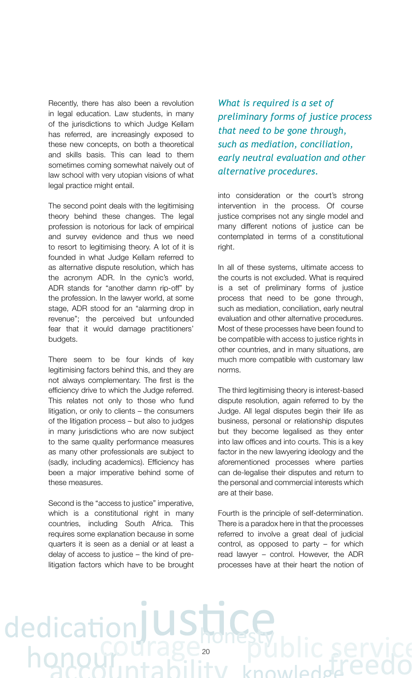Recently, there has also been a revolution in legal education. Law students, in many of the jurisdictions to which Judge Kellam has referred, are increasingly exposed to these new concepts, on both a theoretical and skills basis. This can lead to them sometimes coming somewhat naively out of law school with very utopian visions of what legal practice might entail.

The second point deals with the legitimising theory behind these changes. The legal profession is notorious for lack of empirical and survey evidence and thus we need to resort to legitimising theory. A lot of it is founded in what Judge Kellam referred to as alternative dispute resolution, which has the acronym ADR. In the cynic's world, ADR stands for "another damn rip-off" by the profession. In the lawyer world, at some stage, ADR stood for an "alarming drop in revenue"; the perceived but unfounded fear that it would damage practitioners' budgets.

There seem to be four kinds of key legitimising factors behind this, and they are not always complementary. The first is the efficiency drive to which the Judge referred. This relates not only to those who fund litigation, or only to clients – the consumers of the litigation process – but also to judges in many jurisdictions who are now subject to the same quality performance measures as many other professionals are subject to (sadly, including academics). Efficiency has been a major imperative behind some of these measures.

Second is the "access to justice" imperative, which is a constitutional right in many countries, including South Africa. This requires some explanation because in some quarters it is seen as a denial or at least a delay of access to justice – the kind of prelitigation factors which have to be brought

ed

*What is required is a set of preliminary forms of justice process that need to be gone through, such as mediation, conciliation, early neutral evaluation and other alternative procedures.* 

into consideration or the court's strong intervention in the process. Of course justice comprises not any single model and many different notions of justice can be contemplated in terms of a constitutional right.

In all of these systems, ultimate access to the courts is not excluded. What is required is a set of preliminary forms of justice process that need to be gone through, such as mediation, conciliation, early neutral evaluation and other alternative procedures. Most of these processes have been found to be compatible with access to justice rights in other countries, and in many situations, are much more compatible with customary law norms.

The third legitimising theory is interest-based dispute resolution, again referred to by the Judge. All legal disputes begin their life as business, personal or relationship disputes but they become legalised as they enter into law offices and into courts. This is a key factor in the new lawyering ideology and the aforementioned processes where parties can de-legalise their disputes and return to the personal and commercial interests which are at their base.

Fourth is the principle of self-determination. There is a paradox here in that the processes referred to involve a great deal of judicial control, as opposed to party – for which read lawyer – control. However, the ADR processes have at their heart the notion of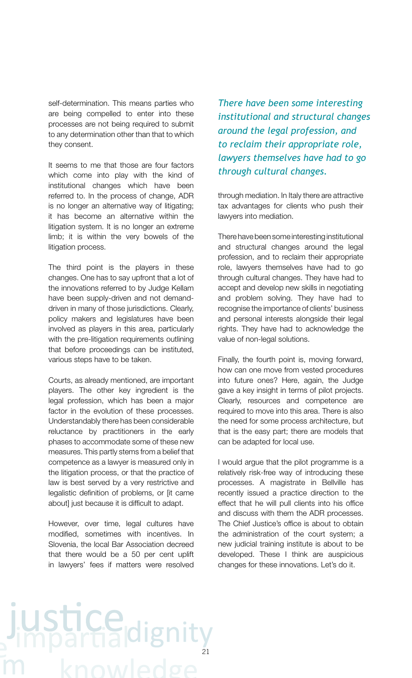self-determination. This means parties who are being compelled to enter into these processes are not being required to submit to any determination other than that to which they consent.

It seems to me that those are four factors which come into play with the kind of institutional changes which have been referred to. In the process of change, ADR is no longer an alternative way of litigating; it has become an alternative within the litigation system. It is no longer an extreme limb; it is within the very bowels of the litigation process.

The third point is the players in these changes. One has to say upfront that a lot of the innovations referred to by Judge Kellam have been supply-driven and not demanddriven in many of those jurisdictions. Clearly, policy makers and legislatures have been involved as players in this area, particularly with the pre-litigation requirements outlining that before proceedings can be instituted, various steps have to be taken.

Courts, as already mentioned, are important players. The other key ingredient is the legal profession, which has been a major factor in the evolution of these processes. Understandably there has been considerable reluctance by practitioners in the early phases to accommodate some of these new measures. This partly stems from a belief that competence as a lawyer is measured only in the litigation process, or that the practice of law is best served by a very restrictive and legalistic definition of problems, or [it came about] just because it is difficult to adapt.

However, over time, legal cultures have modified, sometimes with incentives. In Slovenia, the local Bar Association decreed that there would be a 50 per cent uplift in lawyers' fees if matters were resolved *There have been some interesting institutional and structural changes around the legal profession, and to reclaim their appropriate role, lawyers themselves have had to go through cultural changes.*

through mediation. In Italy there are attractive tax advantages for clients who push their lawyers into mediation.

There have been some interesting institutional and structural changes around the legal profession, and to reclaim their appropriate role, lawyers themselves have had to go through cultural changes. They have had to accept and develop new skills in negotiating and problem solving. They have had to recognise the importance of clients' business and personal interests alongside their legal rights. They have had to acknowledge the value of non-legal solutions.

Finally, the fourth point is, moving forward, how can one move from vested procedures into future ones? Here, again, the Judge gave a key insight in terms of pilot projects. Clearly, resources and competence are required to move into this area. There is also the need for some process architecture, but that is the easy part; there are models that can be adapted for local use.

I would argue that the pilot programme is a relatively risk-free way of introducing these processes. A magistrate in Bellville has recently issued a practice direction to the effect that he will pull clients into his office and discuss with them the ADR processes. The Chief Justice's office is about to obtain the administration of the court system; a new judicial training institute is about to be developed. These I think are auspicious changes for these innovations. Let's do it.

### **LUSTICe**di 21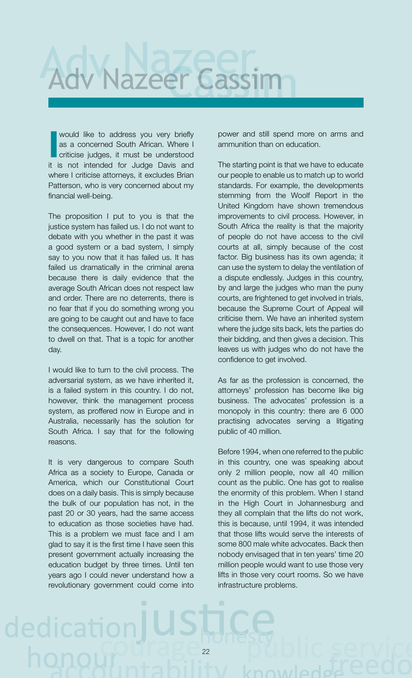

I would like to address you very briefly as a concerned South African. Where I criticise judges, it must be understood it is not intended for Judge Davis and where I criticise attorneys, it excludes Brian Patterson, who is very concerned about my financial well-being.

The proposition I put to you is that the justice system has failed us. I do not want to debate with you whether in the past it was a good system or a bad system, I simply say to you now that it has failed us. It has failed us dramatically in the criminal arena because there is daily evidence that the average South African does not respect law and order. There are no deterrents, there is no fear that if you do something wrong you are going to be caught out and have to face the consequences. However, I do not want to dwell on that. That is a topic for another day.

I would like to turn to the civil process. The adversarial system, as we have inherited it, is a failed system in this country. I do not, however, think the management process system, as proffered now in Europe and in Australia, necessarily has the solution for South Africa. I say that for the following reasons.

It is very dangerous to compare South Africa as a society to Europe, Canada or America, which our Constitutional Court does on a daily basis. This is simply because the bulk of our population has not, in the past 20 or 30 years, had the same access to education as those societies have had. This is a problem we must face and I am glad to say it is the first time I have seen this present government actually increasing the education budget by three times. Until ten years ago I could never understand how a revolutionary government could come into

dedica

power and still spend more on arms and ammunition than on education.

The starting point is that we have to educate our people to enable us to match up to world standards. For example, the developments stemming from the Woolf Report in the United Kingdom have shown tremendous improvements to civil process. However, in South Africa the reality is that the majority of people do not have access to the civil courts at all, simply because of the cost factor. Big business has its own agenda; it can use the system to delay the ventilation of a dispute endlessly. Judges in this country, by and large the judges who man the puny courts, are frightened to get involved in trials, because the Supreme Court of Appeal will criticise them. We have an inherited system where the judge sits back, lets the parties do their bidding, and then gives a decision. This leaves us with judges who do not have the confidence to get involved.

As far as the profession is concerned, the attorneys' profession has become like big business. The advocates' profession is a monopoly in this country: there are 6 000 practising advocates serving a litigating public of 40 million.

Before 1994, when one referred to the public in this country, one was speaking about only 2 million people, now all 40 million count as the public. One has got to realise the enormity of this problem. When I stand in the High Court in Johannesburg and they all complain that the lifts do not work, this is because, until 1994, it was intended that those lifts would serve the interests of some 800 male white advocates. Back then nobody envisaged that in ten years' time 20 million people would want to use those very lifts in those very court rooms. So we have infrastructure problems.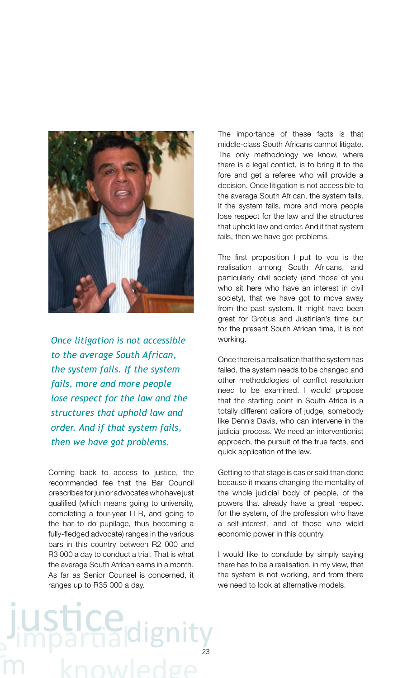

*Once litigation is not accessible to the average South African, the system fails. If the system fails, more and more people lose respect for the law and the structures that uphold law and order. And if that system fails, then we have got problems.*

Coming back to access to justice, the recommended fee that the Bar Council prescribes for junior advocates who have just qualified (which means going to university, completing a four-year LLB, and going to the bar to do pupilage, thus becoming a fully-fledged advocate) ranges in the various bars in this country between R2 000 and R3 000 a day to conduct a trial. That is what the average South African earns in a month. As far as Senior Counsel is concerned, it ranges up to R35 000 a day.

The importance of these facts is that middle-class South Africans cannot litigate. The only methodology we know, where there is a legal conflict, is to bring it to the fore and get a referee who will provide a decision. Once litigation is not accessible to the average South African, the system fails. If the system fails, more and more people lose respect for the law and the structures that uphold law and order. And if that system fails, then we have got problems.

The first proposition  $I$  put to you is the realisation among South Africans, and particularly civil society (and those of you who sit here who have an interest in civil society), that we have got to move away from the past system. It might have been great for Grotius and Justinian's time but for the present South African time, it is not working.

Once there is a realisation that the system has failed, the system needs to be changed and other methodologies of conflict resolution need to be examined. I would propose that the starting point in South Africa is a totally different calibre of judge, somebody like Dennis Davis, who can intervene in the judicial process. We need an interventionist approach, the pursuit of the true facts, and quick application of the law.

Getting to that stage is easier said than done because it means changing the mentality of the whole judicial body of people, of the powers that already have a great respect for the system, of the profession who have a self-interest, and of those who wield economic power in this country.

I would like to conclude by simply saying there has to be a realisation, in my view, that the system is not working, and from there we need to look at alternative models.

# 23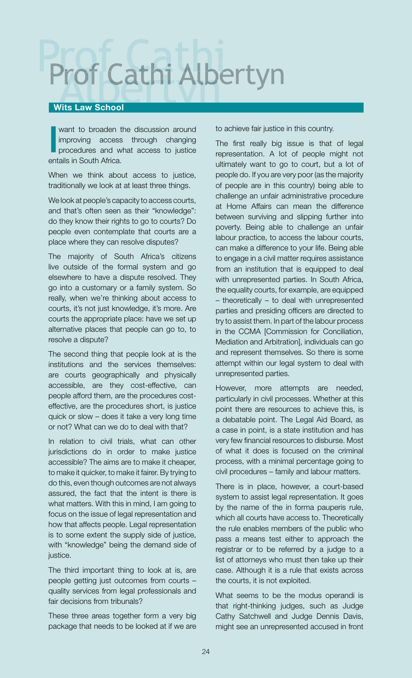### Prof Cathi Albert Prof Cathi Albertyn

#### Wits Law School

I want to broaden the discussion around improving access through changing procedures and what access to justice entails in South Africa.

When we think about access to justice, traditionally we look at at least three things.

We look at people's capacity to access courts, and that's often seen as their "knowledge": do they know their rights to go to courts? Do people even contemplate that courts are a place where they can resolve disputes?

The majority of South Africa's citizens live outside of the formal system and go elsewhere to have a dispute resolved. They go into a customary or a family system. So really, when we're thinking about access to courts, it's not just knowledge, it's more. Are courts the appropriate place: have we set up alternative places that people can go to, to resolve a dispute?

The second thing that people look at is the institutions and the services themselves: are courts geographically and physically accessible, are they cost-effective, can people afford them, are the procedures costeffective, are the procedures short, is justice quick or slow – does it take a very long time or not? What can we do to deal with that?

In relation to civil trials, what can other jurisdictions do in order to make justice accessible? The aims are to make it cheaper, to make it quicker, to make it fairer. By trying to do this, even though outcomes are not always assured, the fact that the intent is there is what matters. With this in mind, I am going to focus on the issue of legal representation and how that affects people. Legal representation is to some extent the supply side of justice, with "knowledge" being the demand side of justice.

The third important thing to look at is, are people getting just outcomes from courts – quality services from legal professionals and fair decisions from tribunals?

These three areas together form a very big package that needs to be looked at if we are to achieve fair justice in this country.

The first really big issue is that of legal representation. A lot of people might not ultimately want to go to court, but a lot of people do. If you are very poor (as the majority of people are in this country) being able to challenge an unfair administrative procedure at Home Affairs can mean the difference between surviving and slipping further into poverty. Being able to challenge an unfair labour practice, to access the labour courts, can make a difference to your life. Being able to engage in a civil matter requires assistance from an institution that is equipped to deal with unrepresented parties. In South Africa, the equality courts, for example, are equipped – theoretically – to deal with unrepresented parties and presiding officers are directed to try to assist them. In part of the labour process in the CCMA [Commission for Conciliation, Mediation and Arbitration], individuals can go and represent themselves. So there is some attempt within our legal system to deal with unrepresented parties.

However, more attempts are needed, particularly in civil processes. Whether at this point there are resources to achieve this, is a debatable point. The Legal Aid Board, as a case in point, is a state institution and has very few financial resources to disburse. Most of what it does is focused on the criminal process, with a minimal percentage going to civil procedures – family and labour matters.

There is in place, however, a court-based system to assist legal representation. It goes by the name of the in forma pauperis rule, which all courts have access to. Theoretically the rule enables members of the public who pass a means test either to approach the registrar or to be referred by a judge to a list of attorneys who must then take up their case. Although it is a rule that exists across the courts, it is not exploited.

What seems to be the modus operandi is that right-thinking judges, such as Judge Cathy Satchwell and Judge Dennis Davis, might see an unrepresented accused in front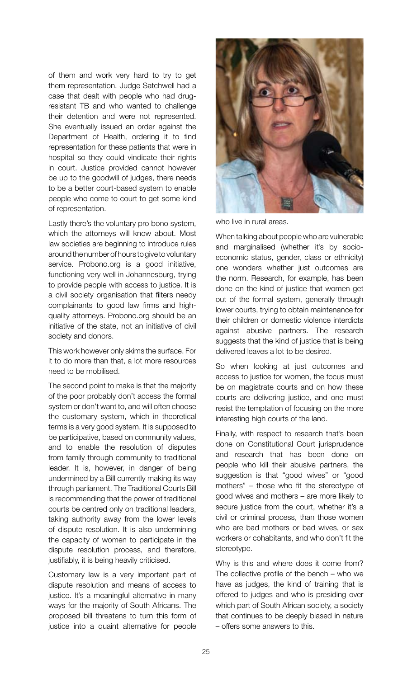of them and work very hard to try to get them representation. Judge Satchwell had a case that dealt with people who had drugresistant TB and who wanted to challenge their detention and were not represented. She eventually issued an order against the Department of Health, ordering it to find representation for these patients that were in hospital so they could vindicate their rights in court. Justice provided cannot however be up to the goodwill of judges, there needs to be a better court-based system to enable people who come to court to get some kind of representation.

Lastly there's the voluntary pro bono system, which the attorneys will know about. Most law societies are beginning to introduce rules around the number of hours to give to voluntary service. Probono.org is a good initiative, functioning very well in Johannesburg, trying to provide people with access to justice. It is a civil society organisation that filters needy complainants to good law firms and highquality attorneys. Probono.org should be an initiative of the state, not an initiative of civil society and donors.

This work however only skims the surface. For it to do more than that, a lot more resources need to be mobilised.

The second point to make is that the majority of the poor probably don't access the formal system or don't want to, and will often choose the customary system, which in theoretical terms is a very good system. It is supposed to be participative, based on community values, and to enable the resolution of disputes from family through community to traditional leader. It is, however, in danger of being undermined by a Bill currently making its way through parliament. The Traditional Courts Bill is recommending that the power of traditional courts be centred only on traditional leaders, taking authority away from the lower levels of dispute resolution. It is also undermining the capacity of women to participate in the dispute resolution process, and therefore, justifiably, it is being heavily criticised.

Customary law is a very important part of dispute resolution and means of access to justice. It's a meaningful alternative in many ways for the majority of South Africans. The proposed bill threatens to turn this form of justice into a quaint alternative for people



who live in rural areas.

When talking about people who are vulnerable and marginalised (whether it's by socioeconomic status, gender, class or ethnicity) one wonders whether just outcomes are the norm. Research, for example, has been done on the kind of justice that women get out of the formal system, generally through lower courts, trying to obtain maintenance for their children or domestic violence interdicts against abusive partners. The research suggests that the kind of justice that is being delivered leaves a lot to be desired.

So when looking at just outcomes and access to justice for women, the focus must be on magistrate courts and on how these courts are delivering justice, and one must resist the temptation of focusing on the more interesting high courts of the land.

Finally, with respect to research that's been done on Constitutional Court jurisprudence and research that has been done on people who kill their abusive partners, the suggestion is that "good wives" or "good mothers" – those who fit the stereotype of good wives and mothers – are more likely to secure justice from the court, whether it's a civil or criminal process, than those women who are bad mothers or bad wives, or sex workers or cohabitants, and who don't fit the stereotype.

Why is this and where does it come from? The collective profile of the bench – who we have as judges, the kind of training that is offered to judges and who is presiding over which part of South African society, a society that continues to be deeply biased in nature – offers some answers to this.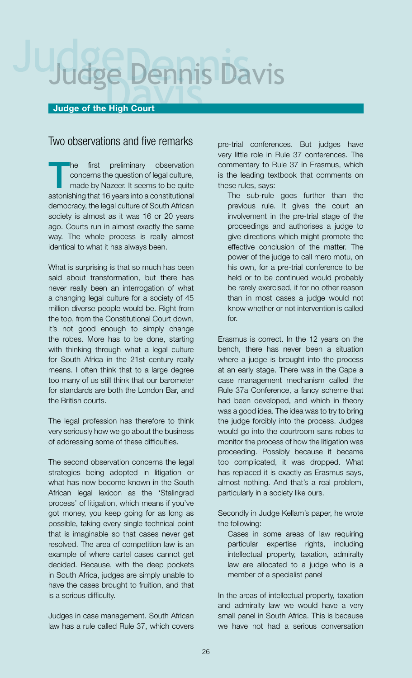## **July 13**

#### Judge of the High Court

#### Two observations and five remarks

The first preliminary observation<br>concerns the question of legal culture,<br>made by Nazeer. It seems to be quite concerns the question of legal culture, made by Nazeer. It seems to be quite astonishing that 16 years into a constitutional democracy, the legal culture of South African society is almost as it was 16 or 20 years ago. Courts run in almost exactly the same way. The whole process is really almost identical to what it has always been.

What is surprising is that so much has been said about transformation, but there has never really been an interrogation of what a changing legal culture for a society of 45 million diverse people would be. Right from the top, from the Constitutional Court down, it's not good enough to simply change the robes. More has to be done, starting with thinking through what a legal culture for South Africa in the 21st century really means. I often think that to a large degree too many of us still think that our barometer for standards are both the London Bar, and the British courts.

The legal profession has therefore to think very seriously how we go about the business of addressing some of these difficulties.

The second observation concerns the legal strategies being adopted in litigation or what has now become known in the South African legal lexicon as the 'Stalingrad process' of litigation, which means if you've got money, you keep going for as long as possible, taking every single technical point that is imaginable so that cases never get resolved. The area of competition law is an example of where cartel cases cannot get decided. Because, with the deep pockets in South Africa, judges are simply unable to have the cases brought to fruition, and that is a serious difficulty.

Judges in case management. South African law has a rule called Rule 37, which covers pre-trial conferences. But judges have very little role in Rule 37 conferences. The commentary to Rule 37 in Erasmus, which is the leading textbook that comments on these rules, says:

The sub-rule goes further than the previous rule. It gives the court an involvement in the pre-trial stage of the proceedings and authorises a judge to give directions which might promote the effective conclusion of the matter. The power of the judge to call mero motu, on his own, for a pre-trial conference to be held or to be continued would probably be rarely exercised, if for no other reason than in most cases a judge would not know whether or not intervention is called for.

Erasmus is correct. In the 12 years on the bench, there has never been a situation where a judge is brought into the process at an early stage. There was in the Cape a case management mechanism called the Rule 37a Conference, a fancy scheme that had been developed, and which in theory was a good idea. The idea was to try to bring the judge forcibly into the process. Judges would go into the courtroom sans robes to monitor the process of how the litigation was proceeding. Possibly because it became too complicated, it was dropped. What has replaced it is exactly as Erasmus says, almost nothing. And that's a real problem, particularly in a society like ours.

Secondly in Judge Kellam's paper, he wrote the following:

Cases in some areas of law requiring particular expertise rights, including intellectual property, taxation, admiralty law are allocated to a judge who is a member of a specialist panel

In the areas of intellectual property, taxation and admiralty law we would have a very small panel in South Africa. This is because we have not had a serious conversation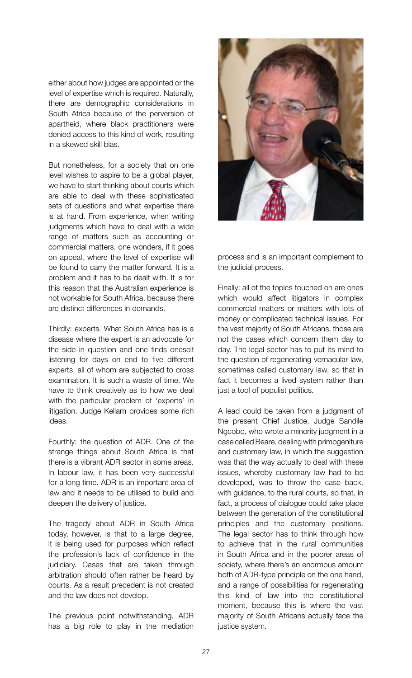either about how judges are appointed or the level of expertise which is required. Naturally, there are demographic considerations in South Africa because of the perversion of apartheid, where black practitioners were denied access to this kind of work, resulting in a skewed skill bias.

But nonetheless, for a society that on one level wishes to aspire to be a global player, we have to start thinking about courts which are able to deal with these sophisticated sets of questions and what expertise there is at hand. From experience, when writing judgments which have to deal with a wide range of matters such as accounting or commercial matters, one wonders, if it goes on appeal, where the level of expertise will be found to carry the matter forward. It is a problem and it has to be dealt with. It is for this reason that the Australian experience is not workable for South Africa, because there are distinct differences in demands.

Thirdly: experts. What South Africa has is a disease where the expert is an advocate for the side in question and one finds oneself listening for days on end to five different experts, all of whom are subjected to cross examination. It is such a waste of time. We have to think creatively as to how we deal with the particular problem of 'experts' in litigation. Judge Kellam provides some rich ideas.

Fourthly: the question of ADR. One of the strange things about South Africa is that there is a vibrant ADR sector in some areas. In labour law, it has been very successful for a long time. ADR is an important area of law and it needs to be utilised to build and deepen the delivery of justice.

The tragedy about ADR in South Africa today, however, is that to a large degree, it is being used for purposes which reflect the profession's lack of confidence in the judiciary. Cases that are taken through arbitration should often rather be heard by courts. As a result precedent is not created and the law does not develop.

The previous point notwithstanding, ADR has a big role to play in the mediation



process and is an important complement to the judicial process.

Finally: all of the topics touched on are ones which would affect litigators in complex commercial matters or matters with lots of money or complicated technical issues. For the vast majority of South Africans, those are not the cases which concern them day to day. The legal sector has to put its mind to the question of regenerating vernacular law, sometimes called customary law, so that in fact it becomes a lived system rather than just a tool of populist politics.

A lead could be taken from a judgment of the present Chief Justice, Judge Sandile Ngcobo, who wrote a minority judgment in a case called Beare, dealing with primogeniture and customary law, in which the suggestion was that the way actually to deal with these issues, whereby customary law had to be developed, was to throw the case back, with guidance, to the rural courts, so that, in fact, a process of dialogue could take place between the generation of the constitutional principles and the customary positions. The legal sector has to think through how to achieve that in the rural communities in South Africa and in the poorer areas of society, where there's an enormous amount both of ADR-type principle on the one hand, and a range of possibilities for regenerating this kind of law into the constitutional moment, because this is where the vast majority of South Africans actually face the justice system.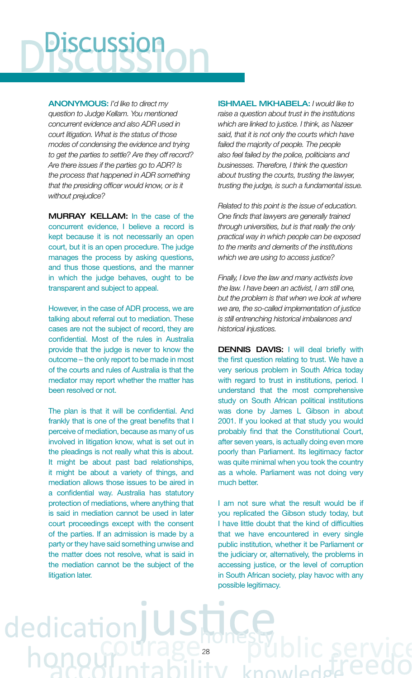# scussion

ANoNymoUs: *I'd like to direct my question to Judge Kellam. You mentioned concurrent evidence and also ADR used in court litigation. What is the status of those modes of condensing the evidence and trying to get the parties to settle? Are they off record? Are there issues if the parties go to ADR? Is the process that happened in ADR something*  that the presiding officer would know, or is it *without prejudice?* 

MURRAY KELLAM: In the case of the concurrent evidence, I believe a record is kept because it is not necessarily an open court, but it is an open procedure. The judge manages the process by asking questions, and thus those questions, and the manner in which the judge behaves, ought to be transparent and subject to appeal.

However, in the case of ADR process, we are talking about referral out to mediation. These cases are not the subject of record, they are confidential. Most of the rules in Australia provide that the judge is never to know the outcome – the only report to be made in most of the courts and rules of Australia is that the mediator may report whether the matter has been resolved or not.

The plan is that it will be confidential. And frankly that is one of the great benefits that I perceive of mediation, because as many of us involved in litigation know, what is set out in the pleadings is not really what this is about. It might be about past bad relationships, it might be about a variety of things, and mediation allows those issues to be aired in a confidential way. Australia has statutory protection of mediations, where anything that is said in mediation cannot be used in later court proceedings except with the consent of the parties. If an admission is made by a party or they have said something unwise and the matter does not resolve, what is said in the mediation cannot be the subject of the litigation later.

ded

ishmAel mkhAbelA: *I would like to raise a question about trust in the institutions which are linked to justice. I think, as Nazeer said, that it is not only the courts which have failed the majority of people. The people also feel failed by the police, politicians and businesses. Therefore, I think the question about trusting the courts, trusting the lawyer, trusting the judge, is such a fundamental issue.* 

*Related to this point is the issue of education. One fi nds that lawyers are generally trained through universities, but is that really the only practical way in which people can be exposed to the merits and demerits of the institutions which we are using to access justice?* 

*Finally, I love the law and many activists love the law. I have been an activist, I am still one, but the problem is that when we look at where we are, the so-called implementation of justice is still entrenching historical imbalances and historical injustices.*

DENNIS DAVIS: I will deal briefly with the first question relating to trust. We have a very serious problem in South Africa today with regard to trust in institutions, period. I understand that the most comprehensive study on South African political institutions was done by James L Gibson in about 2001. If you looked at that study you would probably find that the Constitutional Court, after seven years, is actually doing even more poorly than Parliament. Its legitimacy factor was quite minimal when you took the country as a whole. Parliament was not doing very much better.

I am not sure what the result would be if you replicated the Gibson study today, but I have little doubt that the kind of difficulties that we have encountered in every single public institution, whether it be Parliament or the judiciary or, alternatively, the problems in accessing justice, or the level of corruption in South African society, play havoc with any possible legitimacy.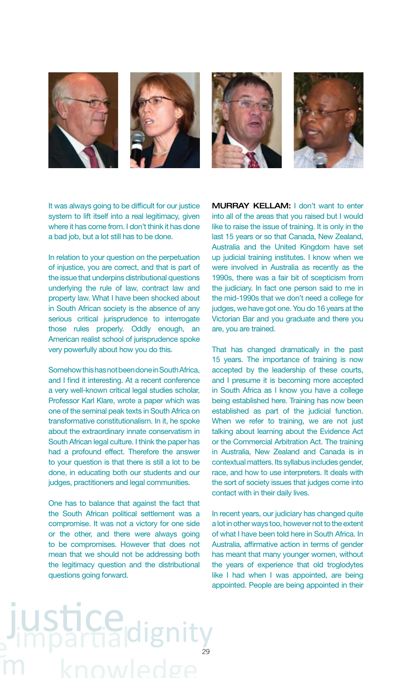

It was always going to be difficult for our justice system to lift itself into a real legitimacy, given where it has come from. I don't think it has done a bad job, but a lot still has to be done.

In relation to your question on the perpetuation of injustice, you are correct, and that is part of the issue that underpins distributional questions underlying the rule of law, contract law and property law. What I have been shocked about in South African society is the absence of any serious critical jurisprudence to interrogate those rules properly. Oddly enough, an American realist school of jurisprudence spoke very powerfully about how you do this.

Somehow this has not been done in South Africa, and I find it interesting. At a recent conference a very well-known critical legal studies scholar, Professor Karl Klare, wrote a paper which was one of the seminal peak texts in South Africa on transformative constitutionalism. In it, he spoke about the extraordinary innate conservatism in South African legal culture. I think the paper has had a profound effect. Therefore the answer to your question is that there is still a lot to be done, in educating both our students and our judges, practitioners and legal communities.

One has to balance that against the fact that the South African political settlement was a compromise. It was not a victory for one side or the other, and there were always going to be compromises. However that does not mean that we should not be addressing both the legitimacy question and the distributional questions going forward.

MURRAY KELLAM: I don't want to enter into all of the areas that you raised but I would like to raise the issue of training. It is only in the last 15 years or so that Canada, New Zealand, Australia and the United Kingdom have set up judicial training institutes. I know when we were involved in Australia as recently as the 1990s, there was a fair bit of scepticism from the judiciary. In fact one person said to me in the mid-1990s that we don't need a college for judges, we have got one. You do 16 years at the Victorian Bar and you graduate and there you are, you are trained.

That has changed dramatically in the past 15 years. The importance of training is now accepted by the leadership of these courts, and I presume it is becoming more accepted in South Africa as I know you have a college being established here. Training has now been established as part of the judicial function. When we refer to training, we are not just talking about learning about the Evidence Act or the Commercial Arbitration Act. The training in Australia, New Zealand and Canada is in contextual matters. Its syllabus includes gender, race, and how to use interpreters. It deals with the sort of society issues that judges come into contact with in their daily lives.

In recent years, our judiciary has changed quite a lot in other ways too, however not to the extent of what I have been told here in South Africa. In Australia, affirmative action in terms of gender has meant that many younger women, without the years of experience that old troglodytes like I had when I was appointed, are being appointed. People are being appointed in their

### **Ce** 29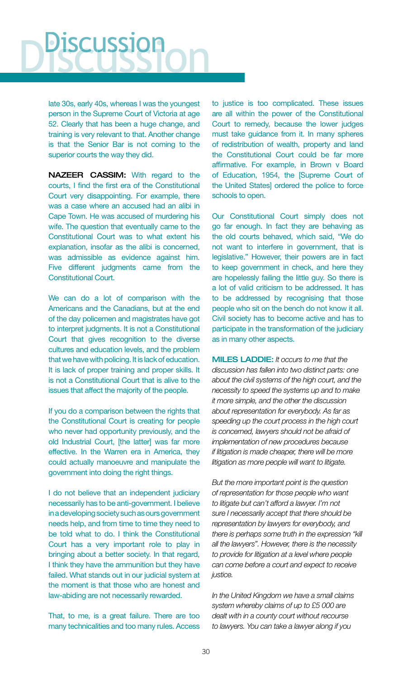# **SCUSSion**

late 30s, early 40s, whereas I was the youngest person in the Supreme Court of Victoria at age 52. Clearly that has been a huge change, and training is very relevant to that. Another change is that the Senior Bar is not coming to the superior courts the way they did.

NAZEER CASSIM: With regard to the courts. I find the first era of the Constitutional Court very disappointing. For example, there was a case where an accused had an alibi in Cape Town. He was accused of murdering his wife. The question that eventually came to the Constitutional Court was to what extent his explanation, insofar as the alibi is concerned, was admissible as evidence against him. Five different judgments came from the Constitutional Court.

We can do a lot of comparison with the Americans and the Canadians, but at the end of the day policemen and magistrates have got to interpret judgments. It is not a Constitutional Court that gives recognition to the diverse cultures and education levels, and the problem that we have with policing. It is lack of education. It is lack of proper training and proper skills. It is not a Constitutional Court that is alive to the issues that affect the majority of the people.

If you do a comparison between the rights that the Constitutional Court is creating for people who never had opportunity previously, and the old Industrial Court, [the latter] was far more effective. In the Warren era in America, they could actually manoeuvre and manipulate the government into doing the right things.

I do not believe that an independent judiciary necessarily has to be anti-government. I believe in a developing society such as ours government needs help, and from time to time they need to be told what to do. I think the Constitutional Court has a very important role to play in bringing about a better society. In that regard, I think they have the ammunition but they have failed. What stands out in our judicial system at the moment is that those who are honest and law-abiding are not necessarily rewarded.

That, to me, is a great failure. There are too many technicalities and too many rules. Access

to justice is too complicated. These issues are all within the power of the Constitutional Court to remedy, because the lower judges must take guidance from it. In many spheres of redistribution of wealth, property and land the Constitutional Court could be far more affirmative. For example, in Brown v Board of Education, 1954, the [Supreme Court of the United States] ordered the police to force schools to open.

Our Constitutional Court simply does not go far enough. In fact they are behaving as the old courts behaved, which said, "We do not want to interfere in government, that is legislative." However, their powers are in fact to keep government in check, and here they are hopelessly failing the little guy. So there is a lot of valid criticism to be addressed. It has to be addressed by recognising that those people who sit on the bench do not know it all. Civil society has to become active and has to participate in the transformation of the judiciary as in many other aspects.

**MILES LADDIE:** *It occurs to me that the discussion has fallen into two distinct parts: one about the civil systems of the high court, and the necessity to speed the systems up and to make it more simple, and the other the discussion about representation for everybody. As far as speeding up the court process in the high court is concerned, lawyers should not be afraid of implementation of new procedures because if litigation is made cheaper, there will be more litigation as more people will want to litigate.* 

*But the more important point is the question of representation for those people who want to litigate but can't afford a lawyer. I'm not sure I necessarily accept that there should be representation by lawyers for everybody, and there is perhaps some truth in the expression "kill all the lawyers". However, there is the necessity to provide for litigation at a level where people can come before a court and expect to receive justice.* 

*In the United Kingdom we have a small claims system whereby claims of up to £5 000 are dealt with in a county court without recourse to lawyers. You can take a lawyer along if you*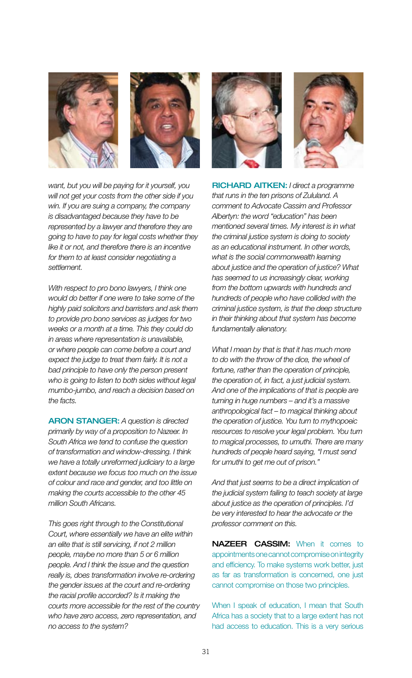



*want, but you will be paying for it yourself, you will not get your costs from the other side if you win. If you are suing a company, the company is disadvantaged because they have to be represented by a lawyer and therefore they are going to have to pay for legal costs whether they like it or not, and therefore there is an incentive for them to at least consider negotiating a settlement.* 

*With respect to pro bono lawyers, I think one would do better if one were to take some of the highly paid solicitors and barristers and ask them to provide pro bono services as judges for two weeks or a month at a time. This they could do in areas where representation is unavailable, or where people can come before a court and expect the judge to treat them fairly. It is not a bad principle to have only the person present who is going to listen to both sides without legal mumbo-jumbo, and reach a decision based on the facts.* 

**ARON STANGER:** A question is directed *primarily by way of a proposition to Nazeer. In South Africa we tend to confuse the question of transformation and window-dressing. I think we have a totally unreformed judiciary to a large extent because we focus too much on the issue of colour and race and gender, and too little on making the courts accessible to the other 45 million South Africans.* 

*This goes right through to the Constitutional Court, where essentially we have an elite within an elite that is still servicing, if not 2 million people, maybe no more than 5 or 6 million people. And I think the issue and the question really is, does transformation involve re-ordering the gender issues at the court and re-ordering the racial profile accorded? Is it making the courts more accessible for the rest of the country who have zero access, zero representation, and no access to the system?*





Richard Aitken: *I direct a programme that runs in the ten prisons of Zululand. A comment to Advocate Cassim and Professor Albertyn: the word "education" has been mentioned several times. My interest is in what the criminal justice system is doing to society as an educational instrument. In other words, what is the social commonwealth learning about justice and the operation of justice? What has seemed to us increasingly clear, working from the bottom upwards with hundreds and hundreds of people who have collided with the criminal justice system, is that the deep structure in their thinking about that system has become fundamentally alienatory.* 

*What I mean by that is that it has much more to do with the throw of the dice, the wheel of fortune, rather than the operation of principle, the operation of, in fact, a just judicial system. And one of the implications of that is people are turning in huge numbers – and it's a massive anthropological fact – to magical thinking about the operation of justice. You turn to mythopoeic resources to resolve your legal problem. You turn to magical processes, to umuthi. There are many hundreds of people heard saying, "I must send for umuthi to get me out of prison."* 

*And that just seems to be a direct implication of the judicial system failing to teach society at large about justice as the operation of principles. I'd be very interested to hear the advocate or the professor comment on this.*

NAZEER CASSIM: When it comes to appointments one cannot compromise on integrity and efficiency. To make systems work better, just as far as transformation is concerned, one just cannot compromise on those two principles.

When I speak of education, I mean that South Africa has a society that to a large extent has not had access to education. This is a very serious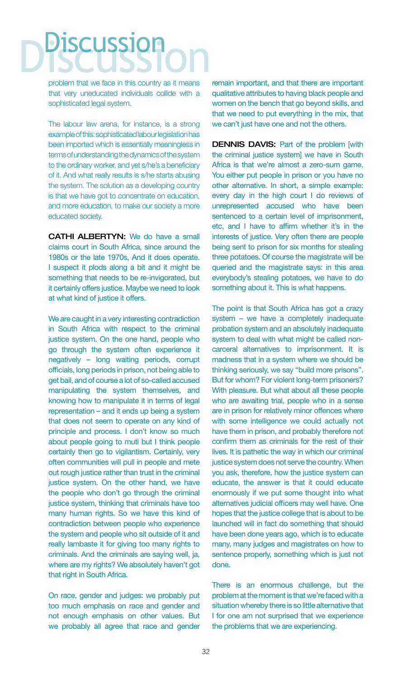## **Discussion**

problem that we face in this country as it means that very uneducated individuals collide with a sophisticated legal system.

The labour law arena, for instance, is a strong example of this: sophisticated labour legislation has been imported which is essentially meaningless in terms of understanding the dynamics of the system to the ordinary worker, and yet s/he's a beneficiary of it. And what really results is s/he starts abusing the system. The solution as a developing country is that we have got to concentrate on education, and more education, to make our society a more educated society.

CATHI ALBERTYN: We do have a small claims court in South Africa, since around the 1980s or the late 1970s, And it does operate. I suspect it plods along a bit and it might be something that needs to be re-invigorated, but it certainly offers justice. Maybe we need to look at what kind of justice it offers.

We are caught in a very interesting contradiction in South Africa with respect to the criminal justice system. On the one hand, people who go through the system often experience it negatively – long waiting periods, corrupt officials, long periods in prison, not being able to get bail, and of course a lot of so-called accused manipulating the system themselves, and knowing how to manipulate it in terms of legal representation – and it ends up being a system that does not seem to operate on any kind of principle and process. I don't know so much about people going to muti but I think people certainly then go to vigilantism. Certainly, very often communities will pull in people and mete out rough justice rather than trust in the criminal justice system. On the other hand, we have the people who don't go through the criminal justice system, thinking that criminals have too many human rights. So we have this kind of contradiction between people who experience the system and people who sit outside of it and really lambaste it for giving too many rights to criminals. And the criminals are saying well, ja, where are my rights? We absolutely haven't got that right in South Africa.

On race, gender and judges: we probably put too much emphasis on race and gender and not enough emphasis on other values. But we probably all agree that race and gender remain important, and that there are important qualitative attributes to having black people and women on the bench that go beyond skills, and that we need to put everything in the mix, that we can't just have one and not the others.

**DENNIS DAVIS:** Part of the problem [with the criminal justice system] we have in South Africa is that we're almost a zero-sum game. You either put people in prison or you have no other alternative. In short, a simple example: every day in the high court I do reviews of unrepresented accused who have been sentenced to a certain level of imprisonment, etc, and I have to affirm whether it's in the interests of justice. Very often there are people being sent to prison for six months for stealing three potatoes. Of course the magistrate will be queried and the magistrate says: in this area everybody's stealing potatoes, we have to do something about it. This is what happens.

The point is that South Africa has got a crazy system – we have a completely inadequate probation system and an absolutely inadequate system to deal with what might be called noncarceral alternatives to imprisonment. It is madness that in a system where we should be thinking seriously, we say "build more prisons". But for whom? For violent long-term prisoners? With pleasure. But what about all these people who are awaiting trial, people who in a sense are in prison for relatively minor offences where with some intelligence we could actually not have them in prison, and probably therefore not confirm them as criminals for the rest of their lives. It is pathetic the way in which our criminal justice system does not serve the country. When you ask, therefore, how the justice system can educate, the answer is that it could educate enormously if we put some thought into what alternatives judicial officers may well have. One hopes that the justice college that is about to be launched will in fact do something that should have been done years ago, which is to educate many, many judges and magistrates on how to sentence properly, something which is just not done.

There is an enormous challenge, but the problem at the moment is that we're faced with a situation whereby there is so little alternative that I for one am not surprised that we experience the problems that we are experiencing.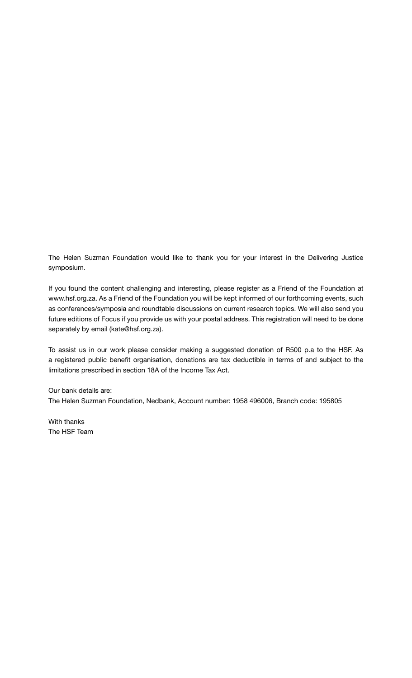The Helen Suzman Foundation would like to thank you for your interest in the Delivering Justice symposium.

If you found the content challenging and interesting, please register as a Friend of the Foundation at www.hsf.org.za. As a Friend of the Foundation you will be kept informed of our forthcoming events, such as conferences/symposia and roundtable discussions on current research topics. We will also send you future editions of Focus if you provide us with your postal address. This registration will need to be done separately by email (kate@hsf.org.za).

To assist us in our work please consider making a suggested donation of R500 p.a to the HSF. As a registered public benefit organisation, donations are tax deductible in terms of and subject to the limitations prescribed in section 18A of the Income Tax Act.

#### Our bank details are: The Helen Suzman Foundation, Nedbank, Account number: 1958 496006, Branch code: 195805

With thanks The HSF Team